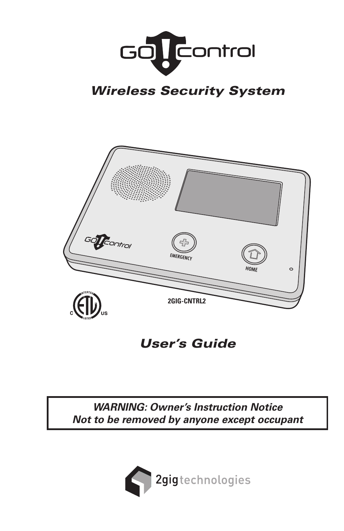

# *Wireless Security System*



*User's Guide*

*WARNING: Owner's Instruction Notice Not to be removed by anyone except occupant*

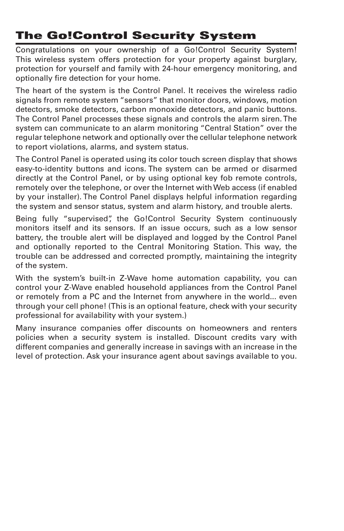# **The Go!Control Security System**

Congratulations on your ownership of a Go!Control Security System! This wireless system offers protection for your property against burglary, protection for yourself and family with 24-hour emergency monitoring, and optionally fire detection for your home.

The heart of the system is the Control Panel. It receives the wireless radio signals from remote system "sensors" that monitor doors, windows, motion detectors, smoke detectors, carbon monoxide detectors, and panic buttons. The Control Panel processes these signals and controls the alarm siren. The system can communicate to an alarm monitoring "Central Station" over the regular telephone network and optionally over the cellular telephone network to report violations, alarms, and system status.

The Control Panel is operated using its color touch screen display that shows easy-to-identity buttons and icons. The system can be armed or disarmed directly at the Control Panel, or by using optional key fob remote controls, remotely over the telephone, or over the Internet with Web access (if enabled by your installer). The Control Panel displays helpful information regarding the system and sensor status, system and alarm history, and trouble alerts.

Being fully "supervised", the Go!Control Security System continuously monitors itself and its sensors. If an issue occurs, such as a low sensor battery, the trouble alert will be displayed and logged by the Control Panel and optionally reported to the Central Monitoring Station. This way, the trouble can be addressed and corrected promptly, maintaining the integrity of the system.

With the system's built-in Z-Wave home automation capability, you can control your Z-Wave enabled household appliances from the Control Panel or remotely from a PC and the Internet from anywhere in the world... even through your cell phone! (This is an optional feature, check with your security professional for availability with your system.)

Many insurance companies offer discounts on homeowners and renters policies when a security system is installed. Discount credits vary with different companies and generally increase in savings with an increase in the level of protection. Ask your insurance agent about savings available to you.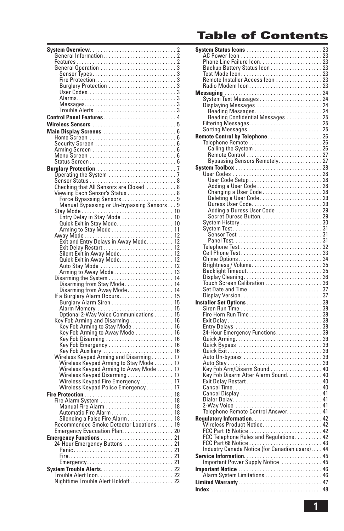# **Table of Contents**

| System Overview<br>. 2                                                                                                    |
|---------------------------------------------------------------------------------------------------------------------------|
|                                                                                                                           |
|                                                                                                                           |
|                                                                                                                           |
| 3                                                                                                                         |
|                                                                                                                           |
|                                                                                                                           |
|                                                                                                                           |
|                                                                                                                           |
|                                                                                                                           |
| Control Panel Features4                                                                                                   |
|                                                                                                                           |
|                                                                                                                           |
|                                                                                                                           |
|                                                                                                                           |
|                                                                                                                           |
|                                                                                                                           |
|                                                                                                                           |
|                                                                                                                           |
|                                                                                                                           |
|                                                                                                                           |
| Checking that All Sensors are Closed  8                                                                                   |
| Viewing Each Sensor's Status 8                                                                                            |
|                                                                                                                           |
| Manual Bypassing or Un-bypassing Sensors 9                                                                                |
| Stay Mode<br>Entry Delay in Stay Mode<br>Quick Exit in Stay Mode<br>10<br>10<br>10                                        |
|                                                                                                                           |
|                                                                                                                           |
|                                                                                                                           |
|                                                                                                                           |
|                                                                                                                           |
|                                                                                                                           |
|                                                                                                                           |
|                                                                                                                           |
|                                                                                                                           |
|                                                                                                                           |
| Disarming from Stay Mode 14<br>Disarming from Away Mode 14                                                                |
| If a Burglary Alarm Occurs 15                                                                                             |
|                                                                                                                           |
|                                                                                                                           |
|                                                                                                                           |
| Key Fob Arming and Disarming<br>Key Fob Arming to Stay Mode<br>Key Fob Arming to Stay Mode<br>Key Fob Arming to Away Mode |
|                                                                                                                           |
|                                                                                                                           |
|                                                                                                                           |
|                                                                                                                           |
|                                                                                                                           |
|                                                                                                                           |
|                                                                                                                           |
|                                                                                                                           |
| Wireless Keypad Disarming 17<br>Wireless Keypad Fire Emergency 17                                                         |
| Wireless Keypad Police Emergency 17                                                                                       |
|                                                                                                                           |
|                                                                                                                           |
| Manual Fire Alarm  18                                                                                                     |
|                                                                                                                           |
|                                                                                                                           |
|                                                                                                                           |
|                                                                                                                           |
|                                                                                                                           |
|                                                                                                                           |
| 24-Hour Emergency Buttons  21                                                                                             |
|                                                                                                                           |
|                                                                                                                           |
|                                                                                                                           |
|                                                                                                                           |
|                                                                                                                           |

| Example adduced the Contract and AC Power Leon<br>Phone Line Failure Leon<br>23<br>Backup Battery Status Leon<br>Test Mode Leon<br>23<br>Remote Installer Access Leon<br>23<br>Remote Installer Access Leon<br>23<br>23<br>Accio Modem Leon<br>23<br>23<br> |  |
|-------------------------------------------------------------------------------------------------------------------------------------------------------------------------------------------------------------------------------------------------------------|--|
|                                                                                                                                                                                                                                                             |  |
|                                                                                                                                                                                                                                                             |  |
|                                                                                                                                                                                                                                                             |  |
|                                                                                                                                                                                                                                                             |  |
|                                                                                                                                                                                                                                                             |  |
|                                                                                                                                                                                                                                                             |  |
|                                                                                                                                                                                                                                                             |  |
|                                                                                                                                                                                                                                                             |  |
|                                                                                                                                                                                                                                                             |  |
| Reading Confidential Messages  25                                                                                                                                                                                                                           |  |
|                                                                                                                                                                                                                                                             |  |
|                                                                                                                                                                                                                                                             |  |
|                                                                                                                                                                                                                                                             |  |
|                                                                                                                                                                                                                                                             |  |
|                                                                                                                                                                                                                                                             |  |
|                                                                                                                                                                                                                                                             |  |
|                                                                                                                                                                                                                                                             |  |
|                                                                                                                                                                                                                                                             |  |
|                                                                                                                                                                                                                                                             |  |
| For Control by Telephone<br>Telephone Remote<br>Telephone Remote<br>Calling the System<br>Calling the System<br>Terminal System<br>Terminal System<br>Control Control Control Control Control Control Control Control Control Control Contr                 |  |
|                                                                                                                                                                                                                                                             |  |
|                                                                                                                                                                                                                                                             |  |
|                                                                                                                                                                                                                                                             |  |
|                                                                                                                                                                                                                                                             |  |
|                                                                                                                                                                                                                                                             |  |
|                                                                                                                                                                                                                                                             |  |
|                                                                                                                                                                                                                                                             |  |
|                                                                                                                                                                                                                                                             |  |
|                                                                                                                                                                                                                                                             |  |
|                                                                                                                                                                                                                                                             |  |
| Adding a Duress User Code 29                                                                                                                                                                                                                                |  |
|                                                                                                                                                                                                                                                             |  |
|                                                                                                                                                                                                                                                             |  |
|                                                                                                                                                                                                                                                             |  |
|                                                                                                                                                                                                                                                             |  |
|                                                                                                                                                                                                                                                             |  |
|                                                                                                                                                                                                                                                             |  |
|                                                                                                                                                                                                                                                             |  |
|                                                                                                                                                                                                                                                             |  |
|                                                                                                                                                                                                                                                             |  |
|                                                                                                                                                                                                                                                             |  |
|                                                                                                                                                                                                                                                             |  |
|                                                                                                                                                                                                                                                             |  |
|                                                                                                                                                                                                                                                             |  |
|                                                                                                                                                                                                                                                             |  |
|                                                                                                                                                                                                                                                             |  |
|                                                                                                                                                                                                                                                             |  |
|                                                                                                                                                                                                                                                             |  |
|                                                                                                                                                                                                                                                             |  |
|                                                                                                                                                                                                                                                             |  |
|                                                                                                                                                                                                                                                             |  |
|                                                                                                                                                                                                                                                             |  |
|                                                                                                                                                                                                                                                             |  |
|                                                                                                                                                                                                                                                             |  |
|                                                                                                                                                                                                                                                             |  |
|                                                                                                                                                                                                                                                             |  |
| 24-Hour Emergency Functions. 39                                                                                                                                                                                                                             |  |
|                                                                                                                                                                                                                                                             |  |
|                                                                                                                                                                                                                                                             |  |
|                                                                                                                                                                                                                                                             |  |
|                                                                                                                                                                                                                                                             |  |
|                                                                                                                                                                                                                                                             |  |
|                                                                                                                                                                                                                                                             |  |
|                                                                                                                                                                                                                                                             |  |
|                                                                                                                                                                                                                                                             |  |
|                                                                                                                                                                                                                                                             |  |
|                                                                                                                                                                                                                                                             |  |
|                                                                                                                                                                                                                                                             |  |
|                                                                                                                                                                                                                                                             |  |
|                                                                                                                                                                                                                                                             |  |
|                                                                                                                                                                                                                                                             |  |
| Ney Fob Distant Solid Condition<br>Exit Delay Restart<br>Exit Delay Restart<br>Latinum Affice Condition<br>20 Cancel Display<br>Cancel Display<br>Dialer Delay<br>Dialer Delay<br>2-Way Voice Control Answer.                                               |  |
|                                                                                                                                                                                                                                                             |  |
|                                                                                                                                                                                                                                                             |  |
| Regulatory Information 42                                                                                                                                                                                                                                   |  |
|                                                                                                                                                                                                                                                             |  |
|                                                                                                                                                                                                                                                             |  |
|                                                                                                                                                                                                                                                             |  |
|                                                                                                                                                                                                                                                             |  |
|                                                                                                                                                                                                                                                             |  |
|                                                                                                                                                                                                                                                             |  |
|                                                                                                                                                                                                                                                             |  |
|                                                                                                                                                                                                                                                             |  |
|                                                                                                                                                                                                                                                             |  |
|                                                                                                                                                                                                                                                             |  |
|                                                                                                                                                                                                                                                             |  |
|                                                                                                                                                                                                                                                             |  |
|                                                                                                                                                                                                                                                             |  |
|                                                                                                                                                                                                                                                             |  |
|                                                                                                                                                                                                                                                             |  |
|                                                                                                                                                                                                                                                             |  |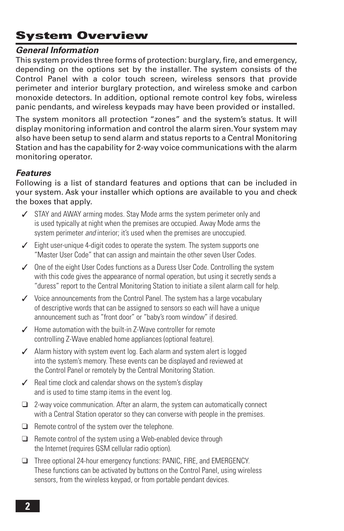# **System Overview**

### *General Information*

This system provides three forms of protection: burglary, fire, and emergency, depending on the options set by the installer. The system consists of the Control Panel with a color touch screen, wireless sensors that provide perimeter and interior burglary protection, and wireless smoke and carbon monoxide detectors. In addition, optional remote control key fobs, wireless panic pendants, and wireless keypads may have been provided or installed.

The system monitors all protection "zones" and the system's status. It will display monitoring information and control the alarm siren. Your system may also have been setup to send alarm and status reports to a Central Monitoring Station and has the capability for 2-way voice communications with the alarm monitoring operator.

## *Features*

Following is a list of standard features and options that can be included in your system. Ask your installer which options are available to you and check the boxes that apply.

- ✓ STAY and AWAY arming modes. Stay Mode arms the system perimeter only and is used typically at night when the premises are occupied. Away Mode arms the system perimeter *and* interior; it's used when the premises are unoccupied.
- ✓ Eight user-unique 4-digit codes to operate the system. The system supports one "Master User Code" that can assign and maintain the other seven User Codes.
- ✓ One of the eight User Codes functions as a Duress User Code. Controlling the system with this code gives the appearance of normal operation, but using it secretly sends a "duress" report to the Central Monitoring Station to initiate a silent alarm call for help.
- ✓ Voice announcements from the Control Panel. The system has a large vocabulary of descriptive words that can be assigned to sensors so each will have a unique announcement such as "front door" or "baby's room window" if desired.
- ✓ Home automation with the built-in Z-Wave controller for remote controlling Z-Wave enabled home appliances (optional feature).
- ✓ Alarm history with system event log. Each alarm and system alert is logged into the system's memory. These events can be displayed and reviewed at the Control Panel or remotely by the Central Monitoring Station.
- $\angle$  Real time clock and calendar shows on the system's display and is used to time stamp items in the event log.
- ❑ 2-way voice communication. After an alarm, the system can automatically connect with a Central Station operator so they can converse with people in the premises.
- ❑ Remote control of the system over the telephone.
- ❑ Remote control of the system using a Web-enabled device through the Internet (requires GSM cellular radio option).
- ❑ Three optional 24-hour emergency functions: PANIC, FIRE, and EMERGENCY. These functions can be activated by buttons on the Control Panel, using wireless sensors, from the wireless keypad, or from portable pendant devices.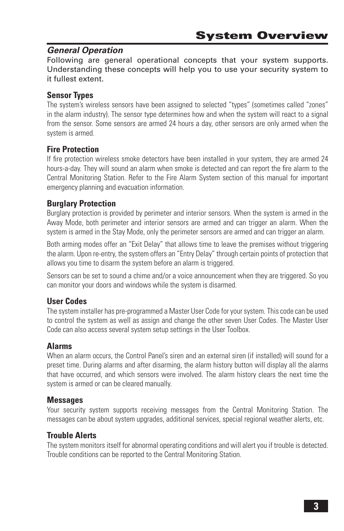## *General Operation*

Following are general operational concepts that your system supports. Understanding these concepts will help you to use your security system to it fullest extent.

# **Sensor Types**

The system's wireless sensors have been assigned to selected "types" (sometimes called "zones" in the alarm industry). The sensor type determines how and when the system will react to a signal from the sensor. Some sensors are armed 24 hours a day, other sensors are only armed when the system is armed.

# **Fire Protection**

If fire protection wireless smoke detectors have been installed in your system, they are armed 24 hours-a-day. They will sound an alarm when smoke is detected and can report the fire alarm to the Central Monitoring Station. Refer to the Fire Alarm System section of this manual for important emergency planning and evacuation information.

## **Burglary Protection**

Burglary protection is provided by perimeter and interior sensors. When the system is armed in the Away Mode, both perimeter and interior sensors are armed and can trigger an alarm. When the system is armed in the Stay Mode, only the perimeter sensors are armed and can trigger an alarm.

Both arming modes offer an "Exit Delay" that allows time to leave the premises without triggering the alarm. Upon re-entry, the system offers an "Entry Delay" through certain points of protection that allows you time to disarm the system before an alarm is triggered.

Sensors can be set to sound a chime and/or a voice announcement when they are triggered. So you can monitor your doors and windows while the system is disarmed.

## **User Codes**

The system installer has pre-programmed a Master User Code for your system. This code can be used to control the system as well as assign and change the other seven User Codes. The Master User Code can also access several system setup settings in the User Toolbox.

#### **Alarms**

When an alarm occurs, the Control Panel's siren and an external siren (if installed) will sound for a preset time. During alarms and after disarming, the alarm history button will display all the alarms that have occurred, and which sensors were involved. The alarm history clears the next time the system is armed or can be cleared manually.

#### **Messages**

Your security system supports receiving messages from the Central Monitoring Station. The messages can be about system upgrades, additional services, special regional weather alerts, etc.

## **Trouble Alerts**

The system monitors itself for abnormal operating conditions and will alert you if trouble is detected. Trouble conditions can be reported to the Central Monitoring Station.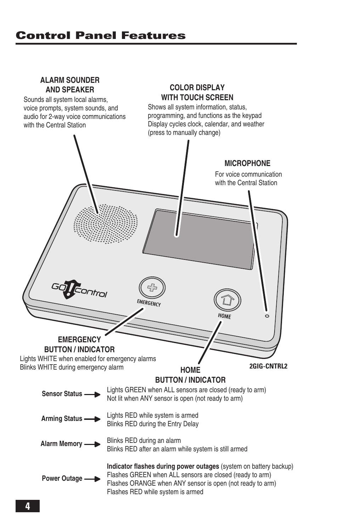# **Control Panel Features**

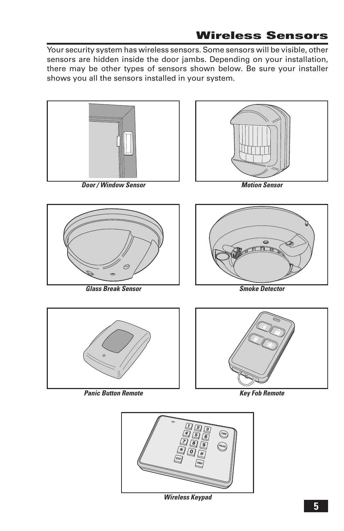# **Wireless Sensors**

Your security system has wireless sensors. Some sensors will be visible, other sensors are hidden inside the door jambs. Depending on your installation, there may be other types of sensors shown below. Be sure your installer shows you all the sensors installed in your system.



*Door / Window Sensor*



*Motion Sensor*



*Glass Break Sensor*



*Smoke Detector*



*Panic Button Remote*





*Wireless Keypad*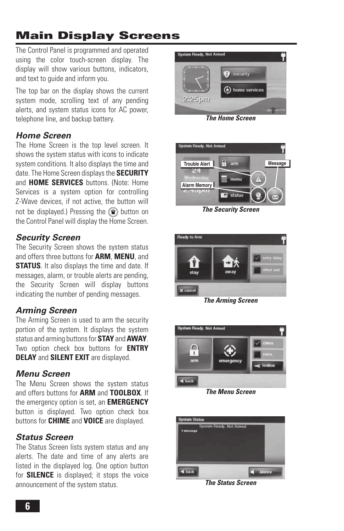# **Main Display Screens**

The Control Panel is programmed and operated using the color touch-screen display. The display will show various buttons, indicators, and text to guide and inform you.

The top bar on the display shows the current system mode, scrolling text of any pending alerts, and system status icons for AC power, telephone line, and backup battery.

# *Home Screen*

The Home Screen is the top level screen. It shows the system status with icons to indicate system conditions. It also displays the time and date. The Home Screen displays the **SECURITY** and **HOME SERVICES** buttons. (Note: Home Services is a system option for controlling Z-Wave devices, if not active, the button will not be displayed.) Pressing the  $\circledR$  button on the Control Panel will display the Home Screen.

# *Security Screen*

The Security Screen shows the system status and offers three buttons for **ARM**, **MENU**, and **STATUS**. It also displays the time and date. If messages, alarm, or trouble alerts are pending, the Security Screen will display buttons indicating the number of pending messages.

# *Arming Screen*

The Arming Screen is used to arm the security portion of the system. It displays the system status and arming buttons for **STAY** and **AWAY**. Two option check box buttons for **ENTRY DELAY** and **SILENT EXIT** are displayed.

# *Menu Screen*

The Menu Screen shows the system status and offers buttons for **ARM** and **TOOLBOX**. If the emergency option is set, an **EMERGENCY**  button is displayed. Two option check box buttons for **CHIME** and **VOICE** are displayed.

# *Status Screen*

The Status Screen lists system status and any alerts. The date and time of any alerts are listed in the displayed log. One option button for **SILENCE** is displayed; it stops the voice announcement of the system status.



*The Home Screen*



*The Security Screen*



*The Arming Screen*



*The Menu Screen*



*The Status Screen*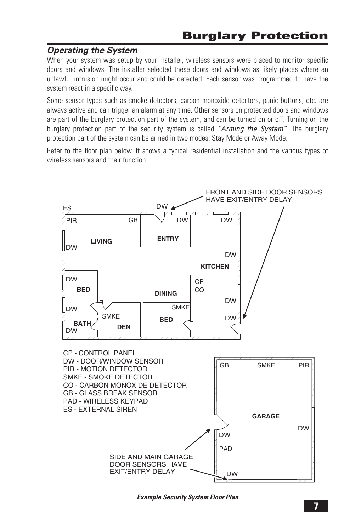### *Operating the System*

When your system was setup by your installer, wireless sensors were placed to monitor specific doors and windows. The installer selected these doors and windows as likely places where an unlawful intrusion might occur and could be detected. Each sensor was programmed to have the system react in a specific way.

Some sensor types such as smoke detectors, carbon monoxide detectors, panic buttons, etc. are always active and can trigger an alarm at any time. Other sensors on protected doors and windows are part of the burglary protection part of the system, and can be turned on or off. Turning on the burglary protection part of the security system is called *"Arming the System"*. The burglary protection part of the system can be armed in two modes: Stay Mode or Away Mode.

Refer to the floor plan below. It shows a typical residential installation and the various types of wireless sensors and their function



*Example Security System Floor Plan*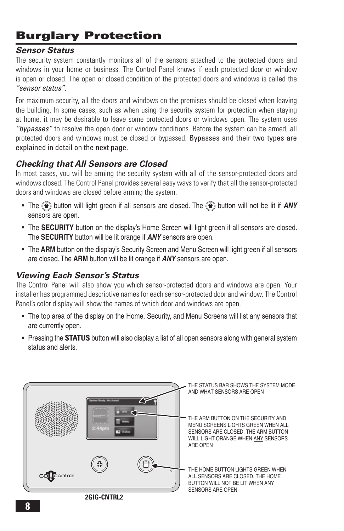# **Burglary Protection**

# *Sensor Status*

The security system constantly monitors all of the sensors attached to the protected doors and windows in your home or business. The Control Panel knows if each protected door or window is open or closed. The open or closed condition of the protected doors and windows is called the *"sensor status"*.

For maximum security, all the doors and windows on the premises should be closed when leaving the building. In some cases, such as when using the security system for protection when staying at home, it may be desirable to leave some protected doors or windows open. The system uses *"bypasses"* to resolve the open door or window conditions. Before the system can be armed, all protected doors and windows must be closed or bypassed. Bypasses and their two types are explained in detail on the next page.

# *Checking that All Sensors are Closed*

In most cases, you will be arming the security system with all of the sensor-protected doors and windows closed. The Control Panel provides several easy ways to verify that all the sensor-protected doors and windows are closed before arming the system.

- The  $\textcircled{f}$  button will light green if all sensors are closed. The  $\textcircled{f}$  button will not be lit if *ANY* sensors are open.
- The **SECURITY** button on the display's Home Screen will light green if all sensors are closed. The **SECURITY** button will be lit orange if *ANY* sensors are open.
- The **ARM** button on the display's Security Screen and Menu Screen will light green if all sensors are closed. The **ARM** button will be lit orange if *ANY* sensors are open.

## *Viewing Each Sensor's Status*

The Control Panel will also show you which sensor-protected doors and windows are open. Your installer has programmed descriptive names for each sensor-protected door and window. The Control Panel's color display will show the names of which door and windows are open.

- The top area of the display on the Home, Security, and Menu Screens will list any sensors that are currently open.
- Pressing the **STATUS** button will also display a list of all open sensors along with general system status and alerts.

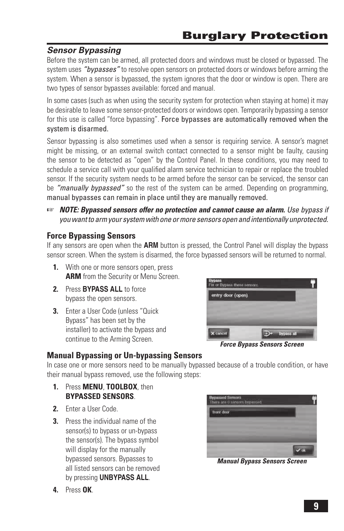# *Sensor Bypassing*

Before the system can be armed, all protected doors and windows must be closed or bypassed. The system uses *"bypasses"* to resolve open sensors on protected doors or windows before arming the system. When a sensor is bypassed, the system ignores that the door or window is open. There are two types of sensor bypasses available: forced and manual.

In some cases (such as when using the security system for protection when staying at home) it may be desirable to leave some sensor-protected doors or windows open. Temporarily bypassing a sensor for this use is called "force bypassing". Force bypasses are automatically removed when the system is disarmed.

Sensor bypassing is also sometimes used when a sensor is requiring service. A sensor's magnet might be missing, or an external switch contact connected to a sensor might be faulty, causing the sensor to be detected as "open" by the Control Panel. In these conditions, you may need to schedule a service call with your qualified alarm service technician to repair or replace the troubled sensor. If the security system needs to be armed before the sensor can be serviced, the sensor can be *"manually bypassed"* so the rest of the system can be armed. Depending on programming, manual bypasses can remain in place until they are manually removed.

☞ *NOTE: Bypassed sensors offer no protection and cannot cause an alarm. Use bypass if you want to arm your system with one or more sensors open and intentionally unprotected.*

## **Force Bypassing Sensors**

If any sensors are open when the **ARM** button is pressed, the Control Panel will display the bypass sensor screen. When the system is disarmed, the force bypassed sensors will be returned to normal.

- **1.** With one or more sensors open, press **ARM** from the Security or Menu Screen.
- **2.** Press **BYPASS ALL** to force bypass the open sensors.
- **3.** Enter a User Code (unless "Quick Bypass" has been set by the installer) to activate the bypass and continue to the Arming Screen.



*Force Bypass Sensors Screen*

#### **Manual Bypassing or Un-bypassing Sensors**

In case one or more sensors need to be manually bypassed because of a trouble condition, or have their manual bypass removed, use the following steps:

- **1.** Press **MENU**, **TOOLBOX**, then **BYPASSED SENSORS**.
- **2.** Enter a User Code.
- **3.** Press the individual name of the sensor(s) to bypass or un-bypass the sensor(s). The bypass symbol will display for the manually bypassed sensors. Bypasses to all listed sensors can be removed by pressing **UNBYPASS ALL**.



*Manual Bypass Sensors Screen*

**4.** Press **OK**.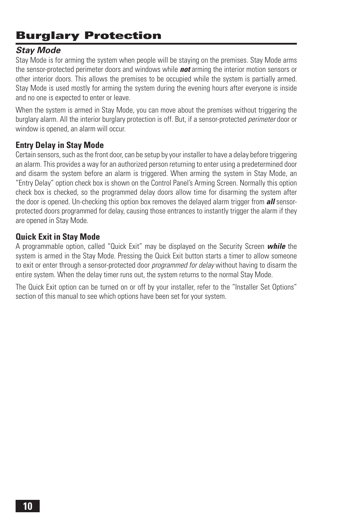# **Burglary Protection**

# *Stay Mode*

Stay Mode is for arming the system when people will be staying on the premises. Stay Mode arms the sensor-protected perimeter doors and windows while *not* arming the interior motion sensors or other interior doors. This allows the premises to be occupied while the system is partially armed. Stay Mode is used mostly for arming the system during the evening hours after everyone is inside and no one is expected to enter or leave.

When the system is armed in Stay Mode, you can move about the premises without triggering the burglary alarm. All the interior burglary protection is off. But, if a sensor-protected *perimeter* door or window is opened, an alarm will occur.

## **Entry Delay in Stay Mode**

Certain sensors, such as the front door, can be setup by your installer to have a delay before triggering an alarm. This provides a way for an authorized person returning to enter using a predetermined door and disarm the system before an alarm is triggered. When arming the system in Stay Mode, an "Entry Delay" option check box is shown on the Control Panel's Arming Screen. Normally this option check box is checked, so the programmed delay doors allow time for disarming the system after the door is opened. Un-checking this option box removes the delayed alarm trigger from *all* sensorprotected doors programmed for delay, causing those entrances to instantly trigger the alarm if they are opened in Stay Mode.

#### **Quick Exit in Stay Mode**

A programmable option, called "Quick Exit" may be displayed on the Security Screen *while* the system is armed in the Stay Mode. Pressing the Quick Exit button starts a timer to allow someone to exit or enter through a sensor-protected door *programmed for delay* without having to disarm the entire system. When the delay timer runs out, the system returns to the normal Stay Mode.

The Quick Exit option can be turned on or off by your installer, refer to the "Installer Set Options" section of this manual to see which options have been set for your system.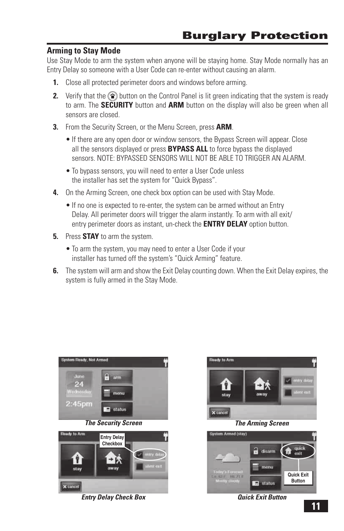#### **Arming to Stay Mode**

Use Stay Mode to arm the system when anyone will be staying home. Stay Mode normally has an Entry Delay so someone with a User Code can re-enter without causing an alarm.

- **1.** Close all protected perimeter doors and windows before arming.
- **2.** Verify that the  $\textcircled{f}$  button on the Control Panel is lit green indicating that the system is ready to arm. The **SECURITY** button and **ARM** button on the display will also be green when all sensors are closed.
- **3.** From the Security Screen, or the Menu Screen, press **ARM**.
	- If there are any open door or window sensors, the Bypass Screen will appear. Close all the sensors displayed or press **BYPASS ALL** to force bypass the displayed sensors. NOTE: BYPASSED SENSORS WILL NOT BE ABLE TO TRIGGER AN ALARM.
	- To bypass sensors, you will need to enter a User Code unless the installer has set the system for " Quick Bypass".
- **4.** On the Arming Screen, one check box option can be used with Stay Mode.
	- If no one is expected to re-enter, the system can be armed without an Entry Delay. All perimeter doors will trigger the alarm instantly. To arm with all exit/ entry perimeter doors as instant, un-check the **ENTRY DELAY** option button.
- **5.** Press **STAY** to arm the system.
	- To arm the system, you may need to enter a User Code if your installer has turned off the system's " Quick Arming" feature.
- **6.** The system will arm and show the Exit Delay counting down. When the Exit Delay expires, the system is fully armed in the Stay Mode.



*Entry Delay Check Box*





*Quick Exit Button*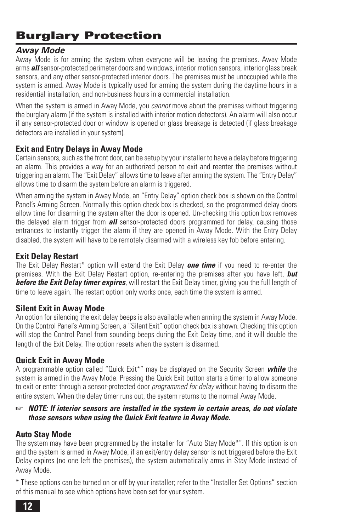# **Burglary Protection**

# *Away Mode*

Away Mode is for arming the system when everyone will be leaving the premises. Away Mode arms *all* sensor-protected perimeter doors and windows, interior motion sensors, interior glass break sensors, and any other sensor-protected interior doors. The premises must be unoccupied while the system is armed. Away Mode is typically used for arming the system during the daytime hours in a residential installation, and non-business hours in a commercial installation.

When the system is armed in Away Mode, you *cannot* move about the premises without triggering the burglary alarm (if the system is installed with interior motion detectors). An alarm will also occur if any sensor-protected door or window is opened or glass breakage is detected (if glass breakage detectors are installed in your system).

#### **Exit and Entry Delays in Away Mode**

Certain sensors, such as the front door, can be setup by your installer to have a delay before triggering an alarm. This provides a way for an authorized person to exit and reenter the premises without triggering an alarm. The " Exit Delay" allows time to leave after arming the system. The " Entry Delay" allows time to disarm the system before an alarm is triggered.

When arming the system in Away Mode, an "Entry Delay" option check box is shown on the Control Panel's Arming Screen. Normally this option check box is checked, so the programmed delay doors allow time for disarming the system after the door is opened. Un-checking this option box removes the delayed alarm trigger from *all* sensor-protected doors programmed for delay, causing those entrances to instantly trigger the alarm if they are opened in Away Mode. With the Entry Delay disabled, the system will have to be remotely disarmed with a wireless key fob before entering.

#### **Exit Delay Restart**

The Exit Delay Restart\* option will extend the Exit Delay *one time* if you need to re-enter the premises. With the Exit Delay Restart option, re-entering the premises after you have left, *but before the Exit Delay timer expires*, will restart the Exit Delay timer, giving you the full length of time to leave again. The restart option only works once, each time the system is armed.

#### **Silent Exit in Away Mode**

An option for silencing the exit delay beeps is also available when arming the system in Away Mode. On the Control Panel's Arming Screen, a "Silent Exit" option check box is shown. Checking this option will stop the Control Panel from sounding beeps during the Exit Delay time, and it will double the length of the Exit Delay. The option resets when the system is disarmed.

## **Quick Exit in Away Mode**

A programmable option called "Quick Exit\*" may be displayed on the Security Screen *while* the system is armed in the Away Mode. Pressing the Quick Exit button starts a timer to allow someone to exit or enter through a sensor-protected door *programmed for delay* without having to disarm the entire system. When the delay timer runs out, the system returns to the normal Away Mode.

#### ☞ *NOTE: If interior sensors are installed in the system in certain areas, do not violate those sensors when using the Quick Exit feature in Away Mode.*

## **Auto Stay Mode**

The system may have been programmed by the installer for "Auto Stay Mode\*". If this option is on and the system is armed in Away Mode, if an exit/entry delay sensor is not triggered before the Exit Delay expires (no one left the premises), the system automatically arms in Stay Mode instead of Away Mode.

\* These options can be turned on or off by your installer; refer to the "Installer Set Options" section of this manual to see which options have been set for your system.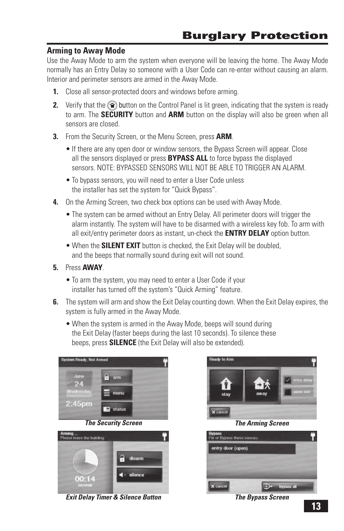#### **Arming to Away Mode**

Use the Away Mode to arm the system when everyone will be leaving the home. The Away Mode normally has an Entry Delay so someone with a User Code can re-enter without causing an alarm. Interior and perimeter sensors are armed in the Away Mode.

- **1.** Close all sensor-protected doors and windows before arming.
- **2.** Verify that the  $\textcircled{2}$  button on the Control Panel is lit green, indicating that the system is ready to arm. The **SECURITY** button and **ARM** button on the display will also be green when all sensors are closed.
- **3.** From the Security Screen, or the Menu Screen, press **ARM**.
	- If there are any open door or window sensors, the Bypass Screen will appear. Close all the sensors displayed or press **BYPASS ALL** to force bypass the displayed sensors. NOTE: BYPASSED SENSORS WILL NOT BE ABLE TO TRIGGER AN ALARM.
	- To bypass sensors, you will need to enter a User Code unless the installer has set the system for " Quick Bypass".
- **4.** On the Arming Screen, two check box options can be used with Away Mode.
	- The system can be armed without an Entry Delay. All perimeter doors will trigger the alarm instantly. The system will have to be disarmed with a wireless key fob. To arm with all exit/entry perimeter doors as instant, un-check the **ENTRY DELAY** option button.
	- When the **SILENT EXIT** button is checked, the Exit Delay will be doubled, and the beeps that normally sound during exit will not sound.
- **5.** Press **AWAY**.
	- To arm the system, you may need to enter a User Code if your installer has turned off the system's " Quick Arming" feature.
- **6.** The system will arm and show the Exit Delay counting down. When the Exit Delay expires, the system is fully armed in the Away Mode.
	- When the system is armed in the Away Mode, beeps will sound during the Exit Delay (faster beeps during the last 10 seconds). To silence these beeps, press **SILENCE** (the Exit Delay will also be extended).



*Exit Delay Timer & Silence Button The Bypass Screen*



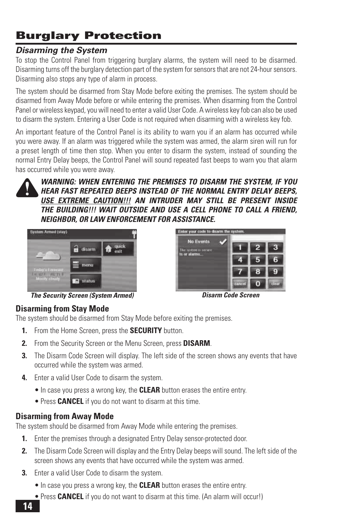# **Burglary Protection**

## *Disarming the System*

To stop the Control Panel from triggering burglary alarms, the system will need to be disarmed. Disarming turns off the burglary detection part of the system for sensors that are not 24-hour sensors. Disarming also stops any type of alarm in process.

The system should be disarmed from Stay Mode before exiting the premises. The system should be disarmed from Away Mode before or while entering the premises. When disarming from the Control Panel or wireless keypad, you will need to enter a valid User Code. A wireless key fob can also be used to disarm the system. Entering a User Code is not required when disarming with a wireless key fob.

An important feature of the Control Panel is its ability to warn you if an alarm has occurred while you were away. If an alarm was triggered while the system was armed, the alarm siren will run for a preset length of time then stop. When you enter to disarm the system, instead of sounding the normal Entry Delay beeps, the Control Panel will sound repeated fast beeps to warn you that alarm has occurred while you were away.



*WARNING: WHEN ENTERING THE PREMISES TO DISARM THE SYSTEM, IF YOU HEAR FAST REPEATED BEEPS INSTEAD OF THE NORMAL ENTRY DELAY BEEPS, USE EXTREME CAUTION!!! AN INTRUDER MAY STILL BE PRESENT INSIDE THE BUILDING!!! WAIT OUTSIDE AND USE A CELL PHONE TO CALL A FRIEND, NEIGHBOR, OR LAW ENFORCEMENT FOR ASSISTANCE.*



**No Events** 

Enter your code to disarm the a

*The Security Screen (System Armed) Disarm Code Screen*

#### **Disarming from Stay Mode**

The system should be disarmed from Stay Mode before exiting the premises.

- **1.** From the Home Screen, press the **SECURITY** button.
- **2.** From the Security Screen or the Menu Screen, press **DISARM**.
- **3.** The Disarm Code Screen will display. The left side of the screen shows any events that have occurred while the system was armed.
- **4.** Enter a valid User Code to disarm the system.
	- In case you press a wrong key, the **CLEAR** button erases the entire entry.
	- Press **CANCEL** if you do not want to disarm at this time.

## **Disarming from Away Mode**

The system should be disarmed from Away Mode while entering the premises.

- **1.** Enter the premises through a designated Entry Delay sensor-protected door.
- **2.** The Disarm Code Screen will display and the Entry Delay beeps will sound. The left side of the screen shows any events that have occurred while the system was armed.
- **3.** Enter a valid User Code to disarm the system.
	- In case you press a wrong key, the **CLEAR** button erases the entire entry.
	- Press **CANCEL** if you do not want to disarm at this time. (An alarm will occur!)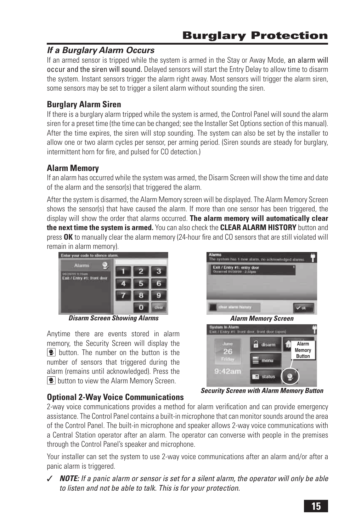# *If a Burglary Alarm Occurs*

If an armed sensor is tripped while the system is armed in the Stay or Away Mode, an alarm will occur and the siren will sound. Delayed sensors will start the Entry Delay to allow time to disarm the system. Instant sensors trigger the alarm right away. Most sensors will trigger the alarm siren, some sensors may be set to trigger a silent alarm without sounding the siren.

# **Burglary Alarm Siren**

If there is a burglary alarm tripped while the system is armed, the Control Panel will sound the alarm siren for a preset time (the time can be changed; see the Installer Set Options section of this manual). After the time expires, the siren will stop sounding. The system can also be set by the installer to allow one or two alarm cycles per sensor, per arming period. (Siren sounds are steady for burglary, intermittent horn for fire, and pulsed for CO detection.)

# **Alarm Memory**

If an alarm has occurred while the system was armed, the Disarm Screen will show the time and date of the alarm and the sensor(s) that triggered the alarm.

After the system is disarmed, the Alarm Memory screen will be displayed. The Alarm Memory Screen shows the sensor(s) that have caused the alarm. If more than one sensor has been triggered, the display will show the order that alarms occurred. **The alarm memory will automatically clear the next time the system is armed.** You can also check the **CLEAR ALARM HISTORY** button and press **OK** to manually clear the alarm memory (24-hour fire and CO sensors that are still violated will remain in alarm memory).



Anytime there are events stored in alarm memory, the Security Screen will display the **De** button. The number on the button is the number of sensors that triggered during the alarm (remains until acknowledged). Press the  $|\mathbf{P}|$  button to view the Alarm Memory Screen.

through the Control Panel's speaker and microphone.



*Security Screen with Alarm Memory Button*

**Optional 2-Way Voice Communications** 2-way voice communications provides a method for alarm verification and can provide emergency assistance. The Control Panel contains a built-in microphone that can monitor sounds around the area of the Control Panel. The built-in microphone and speaker allows 2-way voice communications with a Central Station operator after an alarm. The operator can converse with people in the premises

Your installer can set the system to use 2-way voice communications after an alarm and/or after a panic alarm is triggered.

✓ *NOTE: If a panic alarm or sensor is set for a silent alarm, the operator will only be able to listen and not be able to talk. This is for your protection.*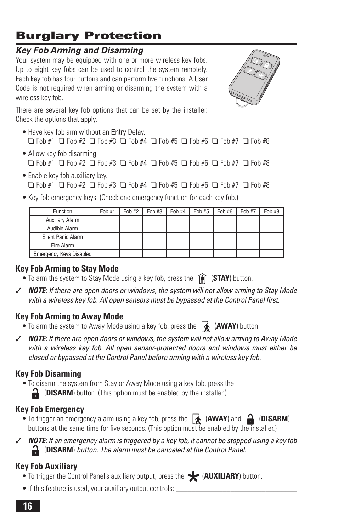## **16**

# **Burglary Protection**

# *Key Fob Arming and Disarming*

Your system may be equipped with one or more wireless key fobs. Up to eight key fobs can be used to control the system remotely. Each key fob has four buttons and can perform five functions. A User Code is not required when arming or disarming the system with a wireless key fob.

There are several key fob options that can be set by the installer. Check the options that apply.

- Have key fob arm without an Entry Delay. ❑ Fob #1 ❑ Fob #2 ❑ Fob #3 ❑ Fob #4 ❑ Fob #5 ❑ Fob #6 ❑ Fob #7 ❑ Fob #8
- Allow key fob disarming. ❑ Fob #1 ❑ Fob #2 ❑ Fob #3 ❑ Fob #4 ❑ Fob #5 ❑ Fob #6 ❑ Fob #7 ❑ Fob #8
- Enable key fob auxiliary key. ❑ Fob #1 ❑ Fob #2 ❑ Fob #3 ❑ Fob #4 ❑ Fob #5 ❑ Fob #6 ❑ Fob #7 ❑ Fob #8
- Key fob emergency keys. (Check one emergency function for each key fob.)

| Function                       | Fob #1 | Fob #2 $\parallel$ | Fob #3 | Fob #4 | Fob #5 | Fob #6 | Fob #7 | Fob #8 |
|--------------------------------|--------|--------------------|--------|--------|--------|--------|--------|--------|
| Auxiliary Alarm                |        |                    |        |        |        |        |        |        |
| Audible Alarm                  |        |                    |        |        |        |        |        |        |
| Silent Panic Alarm             |        |                    |        |        |        |        |        |        |
| Fire Alarm                     |        |                    |        |        |        |        |        |        |
| <b>Emergency Keys Disabled</b> |        |                    |        |        |        |        |        |        |

# **Key Fob Arming to Stay Mode**

- To arm the system to Stay Mode using a key fob, press the  $\left(\frac{\partial}{\partial x}\right)$  (**STAY**) button.
- ✓ *NOTE: If there are open doors or windows, the system will not allow arming to Stay Mode*  with a wireless key fob. All open sensors must be bypassed at the Control Panel first.

# **Key Fob Arming to Away Mode**

- To arm the system to Away Mode using a key fob, press the **A** (AWAY) button.
- ✓ *NOTE: If there are open doors or windows, the system will not allow arming to Away Mode with a wireless key fob. All open sensor-protected doors and windows must either be closed or bypassed at the Control Panel before arming with a wireless key fob.*

# **Key Fob Disarming**

• To disarm the system from Stay or Away Mode using a key fob, press the (**DISARM**) button. (This option must be enabled by the installer.)

# **Key Fob Emergency**

- To trigger an emergency alarm using a key fob, press the  $\overrightarrow{A}$  (**AWAY**) and  $\overrightarrow{A}$  (**DISARM**) buttons at the same time for five seconds. (This option must be enabled by the installer.)
- **NOTE:** If an emergency alarm is triggered by a key fob, it cannot be stopped using a key fob (**DISARM**) *button. The alarm must be canceled at the Control Panel.*

# **Key Fob Auxiliary**

- To trigger the Control Panel's auxiliary output, press the (**AUXILIARY**) button.
- If this feature is used, your auxiliary output controls:

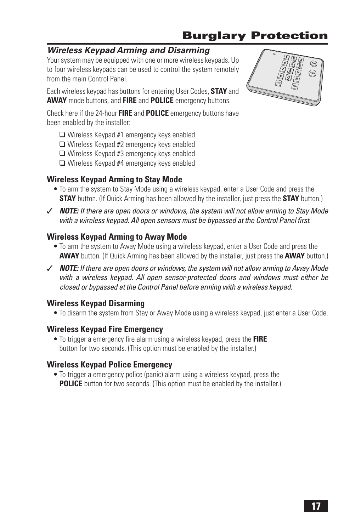# **Burglary Protection**

# *Wireless Keypad Arming and Disarming*

Your system may be equipped with one or more wireless keypads. Up to four wireless keypads can be used to control the system remotely from the main Control Panel.

Each wireless keypad has buttons for entering User Codes, **STAY** and **AWAY** mode buttons, and **FIRE** and **POLICE** emergency buttons.

Check here if the 24-hour **FIRE** and **POLICE** emergency buttons have been enabled by the installer:

- ❑ Wireless Keypad #1 emergency keys enabled
- ❑ Wireless Keypad #2 emergency keys enabled
- ❑ Wireless Keypad #3 emergency keys enabled
- ❑ Wireless Keypad #4 emergency keys enabled

## **Wireless Keypad Arming to Stay Mode**

- To arm the system to Stay Mode using a wireless keypad, enter a User Code and press the **STAY** button. (If Quick Arming has been allowed by the installer, just press the **STAY** button.)
- ✓ *NOTE: If there are open doors or windows, the system will not allow arming to Stay Mode*  with a wireless keypad. All open sensors must be bypassed at the Control Panel first.

#### **Wireless Keypad Arming to Away Mode**

- To arm the system to Away Mode using a wireless keypad, enter a User Code and press the **AWAY** button. (If Quick Arming has been allowed by the installer, just press the **AWAY** button.)
- ✓ *NOTE: If there are open doors or windows, the system will not allow arming to Away Mode with a wireless keypad. All open sensor-protected doors and windows must either be closed or bypassed at the Control Panel before arming with a wireless keypad.*

## **Wireless Keypad Disarming**

• To disarm the system from Stay or Away Mode using a wireless keypad, just enter a User Code.

#### **Wireless Keypad Fire Emergency**

• To trigger a emergency fire alarm using a wireless keypad, press the **FIRE** button for two seconds. (This option must be enabled by the installer.)

#### **Wireless Keypad Police Emergency**

• To trigger a emergency police (panic) alarm using a wireless keypad, press the **POLICE** button for two seconds. (This option must be enabled by the installer.)

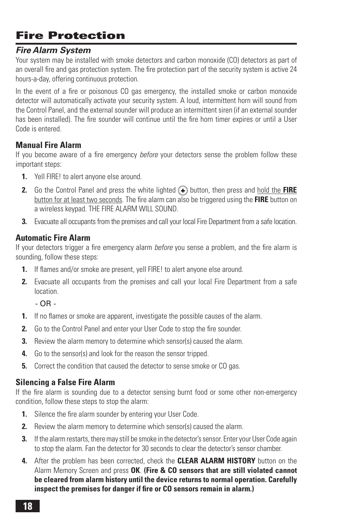# **Fire Protection**

### *Fire Alarm System*

Your system may be installed with smoke detectors and carbon monoxide (CO) detectors as part of an overall fire and gas protection system. The fire protection part of the security system is active 24 hours-a-day, offering continuous protection.

In the event of a fire or poisonous CO gas emergency, the installed smoke or carbon monoxide detector will automatically activate your security system. A loud, intermittent horn will sound from the Control Panel, and the external sounder will produce an intermittent siren (if an external sounder has been installed). The fire sounder will continue until the fire horn timer expires or until a User Code is entered.

#### **Manual Fire Alarm**

If you become aware of a fire emergency *before* your detectors sense the problem follow these important steps:

- **1.** Yell FIRE! to alert anyone else around.
- **2.** Go the Control Panel and press the white lighted  $\left(\frac{1}{2}\right)$  button, then press and hold the **FIRE** button for at least two seconds. The fire alarm can also be triggered using the **FIRE** button on a wireless keypad. THE FIRE ALARM WILL SOUND.
- **3.** Evacuate all occupants from the premises and call your local Fire Department from a safe location.

## **Automatic Fire Alarm**

If your detectors trigger a fire emergency alarm *before* you sense a problem, and the fire alarm is sounding, follow these steps:

- **1.** If flames and/or smoke are present, yell FIRE! to alert anyone else around.
- **2.** Evacuate all occupants from the premises and call your local Fire Department from a safe location.

 $\cap$  R  $-$ 

- **1.** If no flames or smoke are apparent, investigate the possible causes of the alarm.
- **2.** Go to the Control Panel and enter your User Code to stop the fire sounder.
- **3.** Beview the alarm memory to determine which sensor(s) caused the alarm.
- **4.** Go to the sensor(s) and look for the reason the sensor tripped.
- **5.** Correct the condition that caused the detector to sense smoke or CO gas.

## **Silencing a False Fire Alarm**

If the fire alarm is sounding due to a detector sensing burnt food or some other non-emergency condition, follow these steps to stop the alarm:

- **1.** Silence the fire alarm sounder by entering your User Code.
- **2.** Beview the alarm memory to determine which sensor(s) caused the alarm.
- **3.** If the alarm restarts, there may still be smoke in the detector's sensor. Enter your User Code again to stop the alarm. Fan the detector for 30 seconds to clear the detector's sensor chamber.
- **4.** After the problem has been corrected, check the **CLEAR ALARM HISTORY** button on the Alarm Memory Screen and press **OK**. **(Fire & CO sensors that are still violated cannot be cleared from alarm history until the device returns to normal operation. Carefully**  inspect the premises for danger if fire or CO sensors remain in alarm.)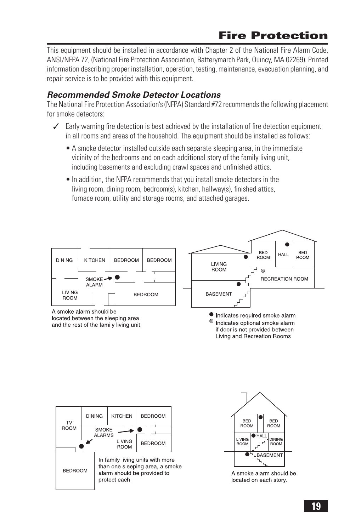# **Fire Protection**

This equipment should be installed in accordance with Chapter 2 of the National Fire Alarm Code, ANSI/NFPA 72, (National Fire Protection Association, Batterymarch Park, Quincy, MA 02269). Printed information describing proper installation, operation, testing, maintenance, evacuation planning, and repair service is to be provided with this equipment.

### *Recommended Smoke Detector Locations*

The National Fire Protection Association's (NFPA) Standard #72 recommends the following placement for smoke detectors:

- $\angle$  Early warning fire detection is best achieved by the installation of fire detection equipment in all rooms and areas of the household. The equipment should be installed as follows:
	- A smoke detector installed outside each separate sleeping area, in the immediate vicinity of the bedrooms and on each additional story of the family living unit, including basements and excluding crawl spaces and unfinished attics.
	- In addition, the NFPA recommends that you install smoke detectors in the living room, dining room, bedroom(s), kitchen, hallway(s), finished attics, furnace room, utility and storage rooms, and attached garages.







A smoke alarm should be located on each story.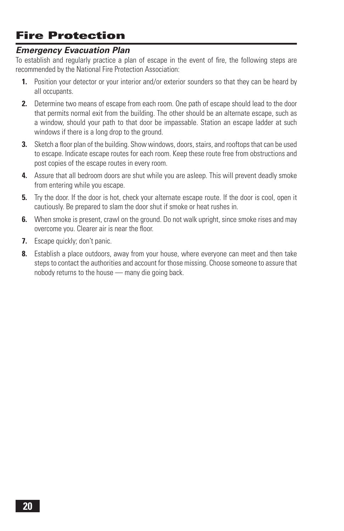# **Fire Protection**

#### *Emergency Evacuation Plan*

To establish and regularly practice a plan of escape in the event of fire, the following steps are recommended by the National Fire Protection Association:

- **1.** Position your detector or your interior and/or exterior sounders so that they can be heard by all occupants.
- **2.** Determine two means of escape from each room. One path of escape should lead to the door that permits normal exit from the building. The other should be an alternate escape, such as a window, should your path to that door be impassable. Station an escape ladder at such windows if there is a long drop to the ground.
- **3.** Sketch a floor plan of the building. Show windows, doors, stairs, and rooftops that can be used to escape. Indicate escape routes for each room. Keep these route free from obstructions and post copies of the escape routes in every room.
- **4.** Assure that all bedroom doors are shut while you are asleep. This will prevent deadly smoke from entering while you escape.
- **5.** Try the door. If the door is hot, check your alternate escape route. If the door is cool, open it cautiously. Be prepared to slam the door shut if smoke or heat rushes in.
- **6.** When smoke is present, crawl on the ground. Do not walk upright, since smoke rises and may overcome you. Clearer air is near the floor.
- **7.** Escape quickly; don't panic.
- **8.** Establish a place outdoors, away from your house, where everyone can meet and then take steps to contact the authorities and account for those missing. Choose someone to assure that nobody returns to the house — many die going back.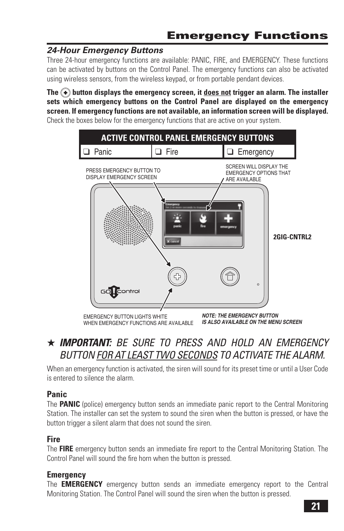# *24-Hour Emergency Buttons*

Three 24-hour emergency functions are available: PANIC, FIRE, and EMERGENCY. These functions can be activated by buttons on the Control Panel. The emergency functions can also be activated using wireless sensors, from the wireless keypad, or from portable pendant devices.

**The button displays the emergency screen, it does not trigger an alarm. The installer sets which emergency buttons on the Control Panel are displayed on the emergency screen. If emergency functions are not available, an information screen will be displayed.** Check the boxes below for the emergency functions that are active on your system.



# ★ *IMPORTANT: BE SURE TO PRESS AND HOLD AN EMERGENCY BUTTON FOR AT LEAST TWO SECONDS TO ACTIVATE THE ALARM.*

When an emergency function is activated, the siren will sound for its preset time or until a User Code is entered to silence the alarm.

## **Panic**

The **PANIC** (police) emergency button sends an immediate panic report to the Central Monitoring Station. The installer can set the system to sound the siren when the button is pressed, or have the button trigger a silent alarm that does not sound the siren.

# **Fire**

The **FIRE** emergency button sends an immediate fire report to the Central Monitoring Station. The Control Panel will sound the fire horn when the button is pressed.

## **Emergency**

The **EMERGENCY** emergency button sends an immediate emergency report to the Central Monitoring Station. The Control Panel will sound the siren when the button is pressed.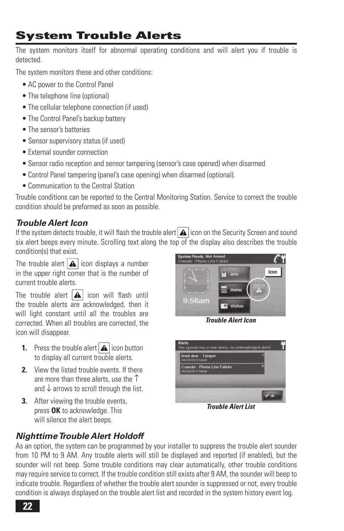# **System Trouble Alerts**

The system monitors itself for abnormal operating conditions and will alert you if trouble is detected.

The system monitors these and other conditions:

- AC power to the Control Panel
- The telephone line (optional)
- The cellular telephone connection (if used)
- The Control Panel's backup battery
- The sensor's batteries
- Sensor supervisory status (if used)
- External sounder connection
- Sensor radio reception and sensor tampering (sensor's case opened) when disarmed
- Control Panel tampering (panel's case opening) when disarmed (optional).
- Communication to the Central Station

Trouble conditions can be reported to the Central Monitoring Station. Service to correct the trouble condition should be preformed as soon as possible.

# *Trouble Alert Icon*

If the system detects trouble, it will flash the trouble alert  $\Delta$  icon on the Security Screen and sound six alert beeps every minute. Scrolling text along the top of the display also describes the trouble condition(s) that exist.

The trouble alert  $\Delta$  icon displays a number in the upper right corner that is the number of current trouble alerts.

The trouble alert  $\boxed{\triangle}$  icon will flash until the trouble alerts are acknowledged, then it will light constant until all the troubles are corrected. When all troubles are corrected, the icon will disappear.

- **1.** Press the trouble alert  $\Delta$  icon button to display all current trouble alerts.
- **2.** View the listed trouble events. If there are more than three alerts, use the ↑ and ↓ arrows to scroll through the list.
- **3.** After viewing the trouble events, press **OK** to acknowledge. This will silence the alert beeps.



*Trouble Alert Icon*



*Trouble Alert List*

## *Nighttime Trouble Alert Holdoff*

As an option, the system can be programmed by your installer to suppress the trouble alert sounder from 10 PM to 9 AM. Any trouble alerts will still be displayed and reported (if enabled), but the sounder will not beep. Some trouble conditions may clear automatically, other trouble conditions may require service to correct. If the trouble condition still exists after 9 AM, the sounder will beep to indicate trouble. Regardless of whether the trouble alert sounder is suppressed or not, every trouble condition is always displayed on the trouble alert list and recorded in the system history event log.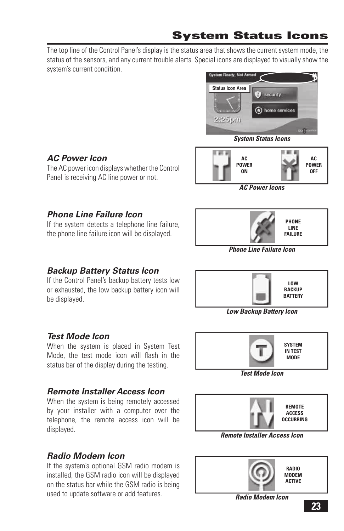The top line of the Control Panel's display is the status area that shows the current system mode, the status of the sensors, and any current trouble alerts. Special icons are displayed to visually show the system's current condition.





The AC power icon displays whether the Control Panel is receiving AC line power or not.



*AC Power Icons*

# *Phone Line Failure Icon*

If the system detects a telephone line failure, the phone line failure icon will be displayed.



*Phone Line Failure Icon*

## *Backup Battery Status Icon*

If the Control Panel's backup battery tests low or exhausted, the low backup battery icon will be displayed.



*Low Backup Battery Icon*

## *Test Mode Icon*

When the system is placed in System Test Mode, the test mode icon will flash in the status bar of the display during the testing.

#### *Test Mode Icon* **SYSTEM IN TEST MODE**

## *Remote Installer Access Icon*

When the system is being remotely accessed by your installer with a computer over the telephone, the remote access icon will be displayed.



If the system's optional GSM radio modem is installed, the GSM radio icon will be displayed on the status bar while the GSM radio is being used to update software or add features.



*Remote Installer Access Icon*



**23**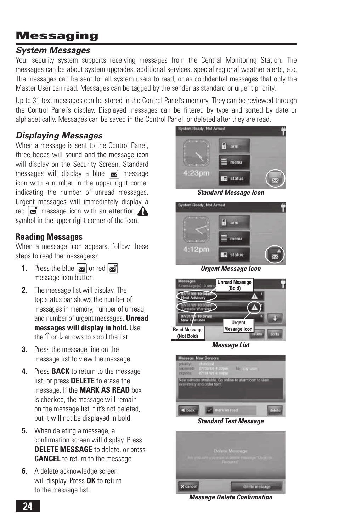# **Messaging**

### *System Messages*

Your security system supports receiving messages from the Central Monitoring Station. The messages can be about system upgrades, additional services, special regional weather alerts, etc. The messages can be sent for all system users to read, or as confidential messages that only the Master User can read. Messages can be tagged by the sender as standard or urgent priority.

Up to 31 text messages can be stored in the Control Panel's memory. They can be reviewed through the Control Panel's display. Displayed messages can be filtered by type and sorted by date or alphabetically. Messages can be saved in the Control Panel, or deleted after they are read.

# *Displaying Messages*

When a message is sent to the Control Panel, three beeps will sound and the message icon will display on the Security Screen. Standard messages will display a blue  $\mathbf{w}'$  message icon with a number in the upper right corner indicating the number of unread messages. Urgent messages will immediately display a red  $\mathbb{R}^n$  message icon with an attention  $\mathbb{\Omega}$ symbol in the upper right corner of the icon.

#### **Reading Messages**

When a message icon appears, follow these steps to read the message(s):

- **1.** Press the blue  $\boxed{\mathbf{x}}$  or red  $\boxed{\mathbf{x}}$ message icon button.
- **2.** The message list will display. The top status bar shows the number of messages in memory, number of unread, and number of urgent messages. **Unread messages will display in bold.** Use the ↑ or ↓ arrows to scroll the list.
- **3.** Press the message line on the message list to view the message.
- **4.** Press **BACK** to return to the message list, or press **DELETE** to erase the message. If the **MARK AS READ** box is checked, the message will remain on the message list if it's not deleted, but it will not be displayed in bold.
- **5.** When deleting a message, a confirmation screen will display. Press **DELETE MESSAGE** to delete, or press **CANCEL** to return to the message.
- **6.** A delete acknowledge screen will display. Press **OK** to return to the message list.



*Standard Message Icon*



*Urgent Message Icon*



*Message List*



*Standard Text Message*



*Message Delete Confi rmation*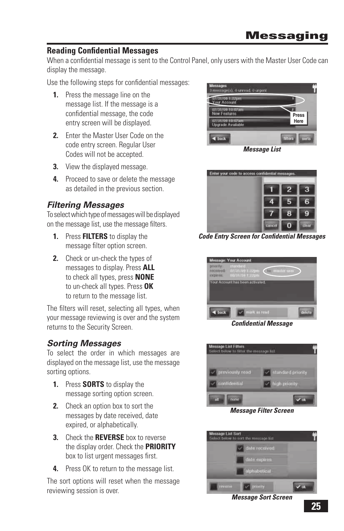#### **Reading Confidential Messages**

When a confidential message is sent to the Control Panel, only users with the Master User Code can display the message.

Use the following steps for confidential messages:

- **1.** Press the message line on the message list. If the message is a confidential message, the code entry screen will be displayed.
- **2.** Enter the Master User Code on the code entry screen. Regular User Codes will not be accepted.
- **3.** View the displayed message.
- **4.** Proceed to save or delete the message as detailed in the previous section.

## *Filtering Messages*

To select which type of messages will be displayed on the message list, use the message filters.

- **1.** Press **FILTERS** to display the message filter option screen.
- **2.** Check or un-check the types of messages to display. Press **ALL** to check all types, press **NONE** to un-check all types. Press **OK** to return to the message list.

The filters will reset, selecting all types, when your message reviewing is over and the system returns to the Security Screen.

#### *Sorting Messages*

To select the order in which messages are displayed on the message list, use the message sorting options.

- **1.** Press **SORTS** to display the message sorting option screen.
- **2.** Check an option box to sort the messages by date received, date expired, or alphabetically.
- **3.** Check the **REVERSE** box to reverse the display order. Check the **PRIORITY** box to list urgent messages first.
- **4.** Press OK to return to the message list.

The sort options will reset when the message reviewing session is over.



*Message List*



*Code Entry Screen for Confi dential Messages*



*Confi dential Message*



*Message Filter Screen*



*Message Sort Screen*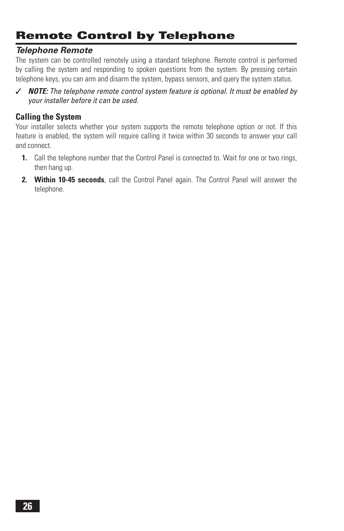# **Remote Control by Telephone**

#### *Telephone Remote*

The system can be controlled remotely using a standard telephone. Remote control is performed by calling the system and responding to spoken questions from the system. By pressing certain telephone keys, you can arm and disarm the system, bypass sensors, and query the system status.

✓ *NOTE: The telephone remote control system feature is optional. It must be enabled by your installer before it can be used.*

#### **Calling the System**

Your installer selects whether your system supports the remote telephone option or not. If this feature is enabled, the system will require calling it twice within 30 seconds to answer your call and connect.

- **1.** Call the telephone number that the Control Panel is connected to. Wait for one or two rings, then hang up.
- **2. Within 10-45 seconds**, call the Control Panel again. The Control Panel will answer the telephone.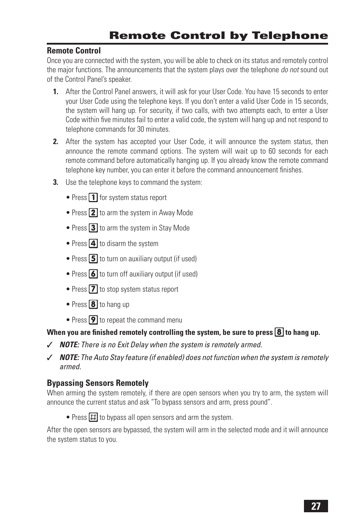#### **Remote Control**

Once you are connected with the system, you will be able to check on its status and remotely control the major functions. The announcements that the system plays over the telephone *do not* sound out of the Control Panel's speaker.

- **1.** After the Control Panel answers, it will ask for your User Code. You have 15 seconds to enter your User Code using the telephone keys. If you don't enter a valid User Code in 15 seconds, the system will hang up. For security, if two calls, with two attempts each, to enter a User Code within five minutes fail to enter a valid code, the system will hang up and not respond to telephone commands for 30 minutes.
- **2.** After the system has accepted your User Code, it will announce the system status, then announce the remote command options. The system will wait up to 60 seconds for each remote command before automatically hanging up. If you already know the remote command telephone key number, you can enter it before the command announcement finishes.
- **3.** Use the telephone keys to command the system:
	- Press  $\Box$  for system status report
	- Press **2** to arm the system in Away Mode
	- Press 3 to arm the system in Stay Mode
	- Press  $\overline{4}$  to disarm the system
	- Press  $\boxed{5}$  to turn on auxiliary output (if used)
	- Press  $\boxed{\bullet}$  to turn off auxiliary output (if used)
	- Press  $\boxed{7}$  to stop system status report
	- Press  $\boxed{8}$  to hang up
	- Press  $\boxed{9}$  to repeat the command menu

#### When you are finished remotely controlling the system, be sure to press  $\boxed{8}$  to hang up.

- ✓ *NOTE: There is no Exit Delay when the system is remotely armed.*
- ✓ *NOTE: The Auto Stay feature (if enabled) does not function when the system is remotely armed.*

#### **Bypassing Sensors Remotely**

When arming the system remotely, if there are open sensors when you try to arm, the system will announce the current status and ask "To bypass sensors and arm, press pound".

• Press  $\boxed{\pm}$  to bypass all open sensors and arm the system.

After the open sensors are bypassed, the system will arm in the selected mode and it will announce the system status to you.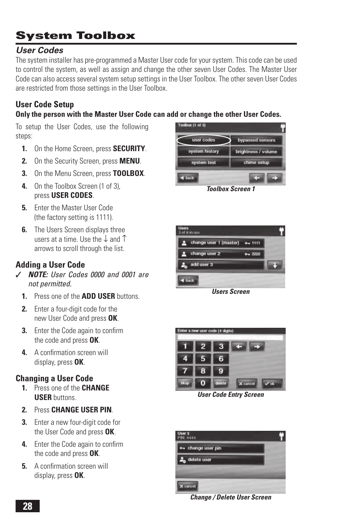# *User Codes*

The system installer has pre-programmed a Master User code for your system. This code can be used to control the system, as well as assign and change the other seven User Codes. The Master User Code can also access several system setup settings in the User Toolbox. The other seven User Codes are restricted from those settings in the User Toolbox.

# **User Code Setup**

#### **Only the person with the Master User Code can add or change the other User Codes.**

To setup the User Codes, use the following steps:

- **1.** On the Home Screen, press **SECURITY**.
- **2.** On the Security Screen, press **MENU**.
- **3.** On the Menu Screen, press **TOOLBOX**.
- **4.** On the Toolbox Screen (1 of 3), press **USER CODES**.
- **5.** Enter the Master User Code (the factory setting is 1111).
- **6.** The Users Screen displays three users at a time. Use the ↓ and ↑ arrows to scroll through the list.

## **Adding a User Code**

- ✓ *NOTE: User Codes 0000 and 0001 are not permitted.*
	- **1.** Press one of the **ADD USER** buttons.
	- **2.** Enter a four-digit code for the new User Code and press **OK**.
	- **3.** Enter the Code again to confirm the code and press **OK**.
	- **4.** A confirmation screen will display, press **OK**.

#### **Changing a User Code**

- **1.** Press one of the **CHANGE USER** buttons.
- **2.** Press **CHANGE USER PIN**.
- **3.** Enter a new four-digit code for the User Code and press **OK**.
- **4.** Enter the Code again to confirm the code and press **OK**.
- **5.** A confirmation screen will display, press **OK**.



*Toolbox Screen 1*



*Users Screen*



*User Code Entry Screen*



*Change / Delete User Screen*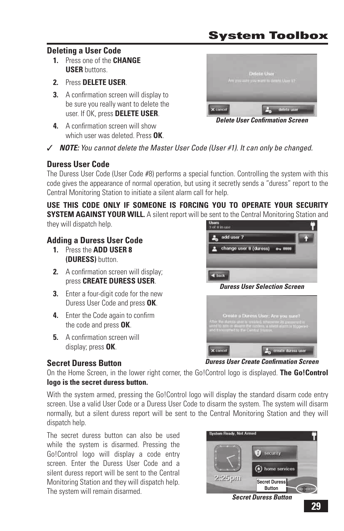#### **Deleting a User Code**

- **1.** Press one of the **CHANGE USER** buttons.
- **2.** Press **DELETE USER**.
- **3.** A confirmation screen will display to be sure you really want to delete the user. If OK, press **DELETE USER**.
- **4.** A confirmation screen will show which user was deleted. Press **OK**.



**Delete User Confirmation Screen** 

✓ *NOTE: You cannot delete the Master User Code (User #1). It can only be changed.*

#### **Duress User Code**

The Duress User Code (User Code #8) performs a special function. Controlling the system with this code gives the appearance of normal operation, but using it secretly sends a "duress" report to the Central Monitoring Station to initiate a silent alarm call for help.

**USE THIS CODE ONLY IF SOMEONE IS FORCING YOU TO OPERATE YOUR SECURITY SYSTEM AGAINST YOUR WILL.** A silent report will be sent to the Central Monitoring Station and they will dispatch help. Users<br>3 of 8 in use

# **Adding a Duress User Code**

- **1.** Press the **ADD USER 8 (DURESS)** button.
- **2.** A confirmation screen will display: press **CREATE DURESS USER**.
- **3.** Enter a four-digit code for the new Duress User Code and press **OK**.
- **4.** Enter the Code again to confirm the code and press **OK**.
- **5.** A confirmation screen will display; press **OK**.

**Secret Duress Button**

# add user 7 change user 8 (duress) ow 88  $\blacktriangleleft$  back *Duress User Selection Screen*



**Duress User Create Confirmation Screen** 

On the Home Screen, in the lower right corner, the Go!Control logo is displayed. **The Go!Control logo is the secret duress button.**

With the system armed, pressing the Go!Control logo will display the standard disarm code entry screen. Use a valid User Code or a Duress User Code to disarm the system. The system will disarm normally, but a silent duress report will be sent to the Central Monitoring Station and they will dispatch help.

The secret duress button can also be used while the system is disarmed. Pressing the Go!Control logo will display a code entry screen. Enter the Duress User Code and a silent duress report will be sent to the Central Monitoring Station and they will dispatch help. The system will remain disarmed.

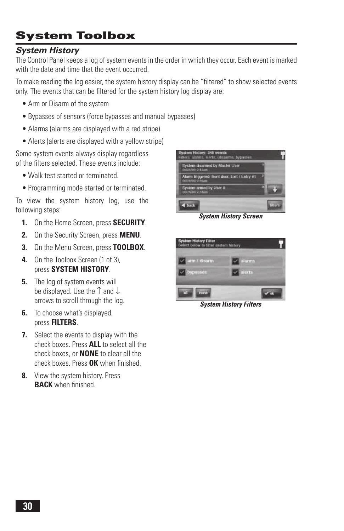# *System History*

The Control Panel keeps a log of system events in the order in which they occur. Each event is marked with the date and time that the event occurred.

To make reading the log easier, the system history display can be "filtered" to show selected events only. The events that can be filtered for the system history log display are:

- Arm or Disarm of the system
- Bypasses of sensors (force bypasses and manual bypasses)
- Alarms (alarms are displayed with a red stripe)
- Alerts (alerts are displayed with a yellow stripe)

Some system events always display regardless of the filters selected. These events include:

- Walk test started or terminated.
- Programming mode started or terminated.

To view the system history log, use the following steps:

- **1.** On the Home Screen, press **SECURITY**.
- **2.** On the Security Screen, press **MENU**.
- **3.** On the Menu Screen, press **TOOLBOX**.
- **4.** On the Toolbox Screen (1 of 3), press **SYSTEM HISTORY**.
- **5.** The log of system events will be displayed. Use the ↑ and ↓ arrows to scroll through the log.
- **6.** To choose what's displayed, press **FILTERS**.
- **7.** Select the events to display with the check boxes. Press **ALL** to select all the check boxes, or **NONE** to clear all the check boxes. Press OK when finished.
- **8.** View the system history. Press **BACK** when finished.



*System History Screen*



*System History Filters*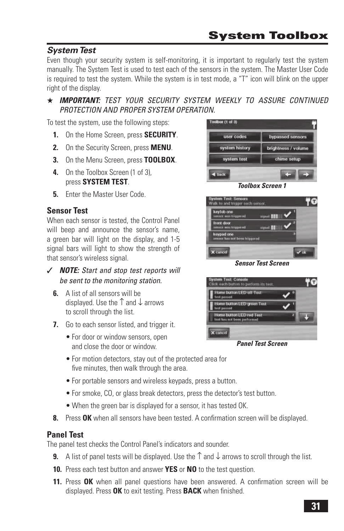# *System Test*

Even though your security system is self-monitoring, it is important to regularly test the system manually. The System Test is used to test each of the sensors in the system. The Master User Code is required to test the system. While the system is in test mode, a "T" icon will blink on the upper right of the display.

★ *IMPORTANT: TEST YOUR SECURITY SYSTEM WEEKLY TO ASSURE CONTINUED PROTECTION AND PROPER SYSTEM OPERATION.*

To test the system, use the following steps:

- **1.** On the Home Screen, press **SECURITY**.
- **2.** On the Security Screen, press **MENU**.
- **3.** On the Menu Screen, press **TOOLBOX**.
- **4.** On the Toolbox Screen (1 of 3), press **SYSTEM TEST**.
- **5. Enter the Master User Code.**

# **Sensor Test**

When each sensor is tested, the Control Panel will beep and announce the sensor's name. a green bar will light on the display, and 1-5 signal bars will light to show the strength of that sensor's wireless signal.

- ✓ *NOTE: Start and stop test reports will be sent to the monitoring station.*
	- **6.** A list of all sensors will be displayed. Use the ↑ and ↓ arrows to scroll through the list.
	- **7.** Go to each sensor listed, and trigger it.
		- For door or window sensors, open and close the door or window.
		- For motion detectors, stay out of the protected area for five minutes, then walk through the area.
		- For portable sensors and wireless keypads, press a button.
		- For smoke, CO, or glass break detectors, press the detector's test button.
		- When the green bar is displayed for a sensor, it has tested OK.
	- **8.** Press OK when all sensors have been tested. A confirmation screen will be displayed.

#### **Panel Test**

The panel test checks the Control Panel's indicators and sounder.

- **9.** A list of panel tests will be displayed. Use the  $\uparrow$  and  $\downarrow$  arrows to scroll through the list.
- **10.** Press each test button and answer **YES** or **NO** to the test question.
- **11.** Press **OK** when all panel questions have been answered. A confirmation screen will be displayed. Press OK to exit testing. Press **BACK** when finished.





*Sensor Test Screen*



*Panel Test Screen*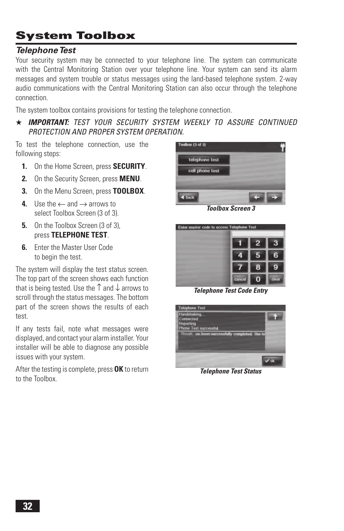# *Telephone Test*

Your security system may be connected to your telephone line. The system can communicate with the Central Monitoring Station over your telephone line. Your system can send its alarm messages and system trouble or status messages using the land-based telephone system. 2-way audio communications with the Central Monitoring Station can also occur through the telephone connection.

The system toolbox contains provisions for testing the telephone connection.

★ *IMPORTANT: TEST YOUR SECURITY SYSTEM WEEKLY TO ASSURE CONTINUED PROTECTION AND PROPER SYSTEM OPERATION.*

To test the telephone connection, use the following steps:

- **1.** On the Home Screen, press **SECURITY**.
- **2.** On the Security Screen, press **MENU**.
- **3.** On the Menu Screen, press **TOOLBOX**.
- **4.** Use the  $\leftarrow$  and  $\rightarrow$  arrows to select Toolbox Screen (3 of 3).
- **5.** On the Toolbox Screen (3 of 3), press **TELEPHONE TEST**.
- **6.** Enter the Master User Code to begin the test.

The system will display the test status screen. The top part of the screen shows each function that is being tested. Use the  $\uparrow$  and  $\downarrow$  arrows to scroll through the status messages. The bottom part of the screen shows the results of each test.

If any tests fail, note what messages were displayed, and contact your alarm installer. Your installer will be able to diagnose any possible issues with your system.

After the testing is complete, press **OK** to return to the Toolbox.



*Toolbox Screen 3*



*Telephone Test Code Entry*



*Telephone Test Status*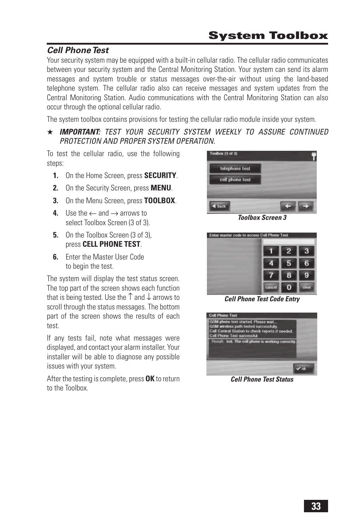# *Cell Phone Test*

Your security system may be equipped with a built-in cellular radio. The cellular radio communicates between your security system and the Central Monitoring Station. Your system can send its alarm messages and system trouble or status messages over-the-air without using the land-based telephone system. The cellular radio also can receive messages and system updates from the Central Monitoring Station. Audio communications with the Central Monitoring Station can also occur through the optional cellular radio.

The system toolbox contains provisions for testing the cellular radio module inside your system.

#### ★ *IMPORTANT: TEST YOUR SECURITY SYSTEM WEEKLY TO ASSURE CONTINUED PROTECTION AND PROPER SYSTEM OPERATION.*

To test the cellular radio, use the following steps:

- **1.** On the Home Screen, press **SECURITY**.
- **2.** On the Security Screen, press **MENU**.
- **3.** On the Menu Screen, press **TOOLBOX**.
- **4.** Use the  $\leftarrow$  and  $\rightarrow$  arrows to select Toolbox Screen (3 of 3).
- **5.** On the Toolbox Screen (3 of 3). press **CELL PHONE TEST**.
- **6. Enter the Master User Code** to begin the test.

The system will display the test status screen. The top part of the screen shows each function that is being tested. Use the  $\uparrow$  and  $\downarrow$  arrows to scroll through the status messages. The bottom part of the screen shows the results of each test.

If any tests fail, note what messages were displayed, and contact your alarm installer. Your installer will be able to diagnose any possible issues with your system.

After the testing is complete, press **OK** to return to the Toolbox.



*Toolbox Screen 3*



*Cell Phone Test Code Entry*



*Cell Phone Test Status*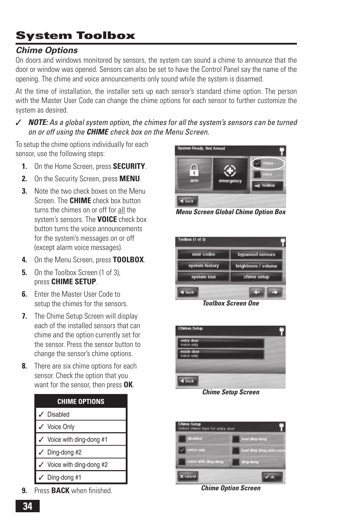# *Chime Options*

On doors and windows monitored by sensors, the system can sound a chime to announce that the door or window was opened. Sensors can also be set to have the Control Panel say the name of the opening. The chime and voice announcements only sound while the system is disarmed.

At the time of installation, the installer sets up each sensor's standard chime option. The person with the Master User Code can change the chime options for each sensor to further customize the system as desired.

✓ *NOTE: As a global system option, the chimes for all the system's sensors can be turned on or off using the CHIME check box on the Menu Screen.*

To setup the chime options individually for each sensor, use the following steps:

- **1.** On the Home Screen, press **SECURITY**.
- **2.** On the Security Screen, press **MENU**.
- **3.** Note the two check boxes on the Menu Screen. The **CHIME** check box button turns the chimes on or off for all the system's sensors. The **VOICE** check box button turns the voice announcements for the system's messages on or off (except alarm voice messages).
- **4.** On the Menu Screen, press **TOOLBOX**.
- **5.** On the Toolbox Screen (1 of 3). press **CHIME SETUP**.
- **6. Enter the Master User Code to** setup the chimes for the sensors.
- **7.** The Chime Setup Screen will display each of the installed sensors that can chime and the option currently set for the sensor. Press the sensor button to change the sensor's chime options.
- **8.** There are six chime options for each sensor. Check the option that you want for the sensor, then press **OK**.

| <b>CHIME OPTIONS</b>                 |
|--------------------------------------|
| $\checkmark$ Disabled                |
| ✔ Voice Only                         |
| $\checkmark$ Voice with ding-dong #1 |
| $\checkmark$ Ding-dong #2            |
| $\checkmark$ Voice with ding-dong #2 |
| $\checkmark$ Ding-dong #1            |

**9.** Press **BACK** when finished.



*Menu Screen Global Chime Option Box*



*Toolbox Screen One*



*Chime Setup Screen*



*Chime Option Screen*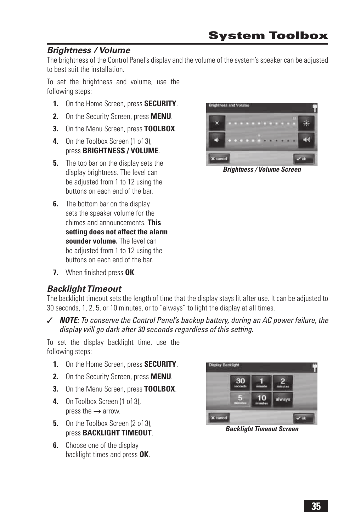# *Brightness / Volume*

The brightness of the Control Panel's display and the volume of the system's speaker can be adjusted to best suit the installation.

To set the brightness and volume, use the following steps:

- **1.** On the Home Screen, press **SECURITY**.
- **2.** On the Security Screen, press **MENU**.
- **3.** On the Menu Screen, press **TOOLBOX**.
- **4.** On the Toolbox Screen (1 of 3), press **BRIGHTNESS / VOLUME**.
- **5.** The top bar on the display sets the display brightness. The level can be adjusted from 1 to 12 using the buttons on each end of the bar.
- **6.** The bottom bar on the display sets the speaker volume for the chimes and announcements. **This setting does not affect the alarm sounder volume.** The level can be adjusted from 1 to 12 using the buttons on each end of the bar.
- **7.** When finished press OK.

# *Backlight Timeout*

The backlight timeout sets the length of time that the display stays lit after use. It can be adjusted to 30 seconds, 1, 2, 5, or 10 minutes, or to "always" to light the display at all times.

✓ *NOTE: To conserve the Control Panel's backup battery, during an AC power failure, the display will go dark after 30 seconds regardless of this setting.*

To set the display backlight time, use the following steps:

- **1.** On the Home Screen, press **SECURITY**.
- **2.** On the Security Screen, press **MENU**.
- **3.** On the Menu Screen, press **TOOLBOX**.
- **4.** On Toolbox Screen (1 of 3), press the  $\rightarrow$  arrow.
- **5.** On the Toolbox Screen (2 of 3). press **BACKLIGHT TIMEOUT**.
- **6.** Choose one of the display backlight times and press **OK**.



*Backlight Timeout Screen*



*Brightness / Volume Screen*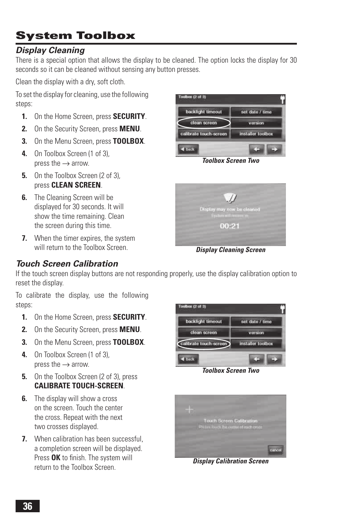# *Display Cleaning*

There is a special option that allows the display to be cleaned. The option locks the display for 30 seconds so it can be cleaned without sensing any button presses.

Clean the display with a dry, soft cloth.

To set the display for cleaning, use the following steps:

- **1.** On the Home Screen, press **SECURITY**.
- **2.** On the Security Screen, press **MENU**.
- **3.** On the Menu Screen, press **TOOLBOX**.
- **4.** On Toolbox Screen (1 of 3), press the  $\rightarrow$  arrow.
- **5.** On the Toolbox Screen (2 of 3). press **CLEAN SCREEN**.
- **6.** The Cleaning Screen will be displayed for 30 seconds. It will show the time remaining. Clean the screen during this time.
- **7.** When the timer expires, the system will return to the Toolbox Screen.



*Toolbox Screen Two*

| Display may now be cleaned<br><b>Systemant movement</b> |  |
|---------------------------------------------------------|--|
| 00:21                                                   |  |
|                                                         |  |

*Display Cleaning Screen*

# *Touch Screen Calibration*

If the touch screen display buttons are not responding properly, use the display calibration option to reset the display.

To calibrate the display, use the following steps:

- **1.** On the Home Screen, press **SECURITY**.
- **2.** On the Security Screen, press **MENU**.
- **3.** On the Menu Screen, press **TOOLBOX**.
- **4.** On Toolbox Screen (1 of 3), press the  $\rightarrow$  arrow.
- **5.** On the Toolbox Screen (2 of 3), press **CALIBRATE TOUCH-SCREEN**.
- **6.** The display will show a cross on the screen. Touch the center the cross. Repeat with the next two crosses displayed.
- **7.** When calibration has been successful, a completion screen will be displayed. Press OK to finish. The system will return to the Toolbox Screen.



*Toolbox Screen Two*



*Display Calibration Screen*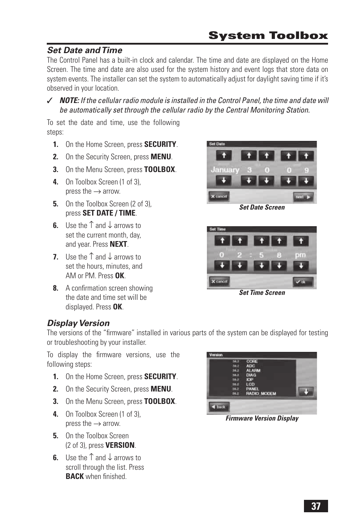# *Set Date and Time*

The Control Panel has a built-in clock and calendar. The time and date are displayed on the Home Screen. The time and date are also used for the system history and event logs that store data on system events. The installer can set the system to automatically adjust for daylight saving time if it's observed in your location.

✓ *NOTE: If the cellular radio module is installed in the Control Panel, the time and date will be automatically set through the cellular radio by the Central Monitoring Station.*

To set the date and time, use the following steps:

- **1.** On the Home Screen, press **SECURITY**.
- **2.** On the Security Screen, press **MENU**.
- **3.** On the Menu Screen, press **TOOLBOX**.
- **4.** On Toolbox Screen (1 of 3), press the  $\rightarrow$  arrow.
- **5.** On the Toolbox Screen (2 of 3). press **SET DATE / TIME**.
- **6.** Use the ↑ and ↓ arrows to set the current month, day, and year. Press **NEXT**.
- **7.** Use the ↑ and ↓ arrows to set the hours, minutes, and AM or PM. Press **OK**.
- **8.** A confirmation screen showing the date and time set will be displayed. Press **OK**.



*Set Date Screen*



*Set Time Screen*

## *Display Version*

The versions of the "firmware" installed in various parts of the system can be displayed for testing or troubleshooting by your installer.

To display the firmware versions, use the following steps:

- **1.** On the Home Screen, press **SECURITY**.
- **2.** On the Security Screen, press **MENU**.
- **3.** On the Menu Screen, press **TOOLBOX**.
- **4.** On Toolbox Screen (1 of 3), press the  $\rightarrow$  arrow.
- **5.** On the Toolbox Screen (2 of 3), press **VERSION**.
- **6.** Use the ↑ and ↓ arrows to scroll through the list. Press **BACK** when finished

| ЮP<br>LCD<br><b>PANEL</b><br><b>RADIO_MODEM</b> |  | <b>ALARM</b><br><b>DIAG</b> |  |  |
|-------------------------------------------------|--|-----------------------------|--|--|
|-------------------------------------------------|--|-----------------------------|--|--|

*Firmware Version Display*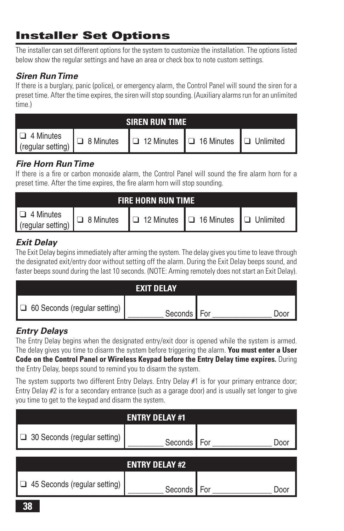# **Installer Set Options**

The installer can set different options for the system to customize the installation. The options listed below show the regular settings and have an area or check box to note custom settings.

# *Siren Run Time*

If there is a burglary, panic (police), or emergency alarm, the Control Panel will sound the siren for a preset time. After the time expires, the siren will stop sounding. (Auxiliary alarms run for an unlimited time.)

|                                                                                    | <b>SIREN RUN TIME</b> |  |
|------------------------------------------------------------------------------------|-----------------------|--|
| Q 4 Minutes<br>(regular setting) Q 8 Minutes Q 12 Minutes Q 16 Minutes Q Unlimited |                       |  |

# *Fire Horn Run Time*

If there is a fire or carbon monoxide alarm, the Control Panel will sound the fire alarm horn for a preset time. After the time expires, the fire alarm horn will stop sounding.

| <b>FIRE HORN RUN TIME</b>          |  |  |                                                                       |  |
|------------------------------------|--|--|-----------------------------------------------------------------------|--|
| $\Box$ 4 Minutes (regular setting) |  |  | $\Box$ 8 Minutes $\Box$ 12 Minutes $\Box$ 16 Minutes $\Box$ Unlimited |  |

# *Exit Delay*

The Exit Delay begins immediately after arming the system. The delay gives you time to leave through the designated exit/entry door without setting off the alarm. During the Exit Delay beeps sound, and faster beeps sound during the last 10 seconds. (NOTE: Arming remotely does not start an Exit Delay).

|                                     | <b>EXIT DELAY</b> |     |
|-------------------------------------|-------------------|-----|
| $\Box$ 60 Seconds (regular setting) | Seconds For       | ) വ |

# *Entry Delays*

The Entry Delay begins when the designated entry/exit door is opened while the system is armed. The delay gives you time to disarm the system before triggering the alarm. **You must enter a User Code on the Control Panel or Wireless Keypad before the Entry Delay time expires.** During the Entry Delay, beeps sound to remind you to disarm the system.

The system supports two different Entry Delays. Entry Delay #1 is for your primary entrance door; Entry Delay  $#2$  is for a secondary entrance (such as a garage door) and is usually set longer to give you time to get to the keypad and disarm the system.

|                                     | <b>ENTRY DELAY #1</b> |             |  |  |
|-------------------------------------|-----------------------|-------------|--|--|
| $\Box$ 30 Seconds (regular setting) | Seconds               | For<br>Door |  |  |
| <b>ENTRY DELAY #2</b>               |                       |             |  |  |
| 45 Seconds (regular setting)        | Seconds               | Doc         |  |  |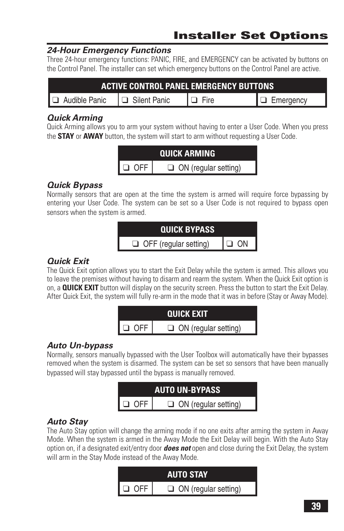# **Installer Set Options**

## *24-Hour Emergency Functions*

Three 24-hour emergency functions: PANIC, FIRE, and EMERGENCY can be activated by buttons on the Control Panel. The installer can set which emergency buttons on the Control Panel are active.

| <b>ACTIVE CONTROL PANEL EMERGENCY BUTTONS</b> |  |             |                  |  |
|-----------------------------------------------|--|-------------|------------------|--|
| $\Box$ Audible Panic $\Box$ Silent Panic      |  | $\Box$ Fire | $\Box$ Emergency |  |

#### *Quick Arming*

Quick Arming allows you to arm your system without having to enter a User Code. When you press the **STAY** or **AWAY** button, the system will start to arm without requesting a User Code.



# *Quick Bypass*

Normally sensors that are open at the time the system is armed will require force bypassing by entering your User Code. The system can be set so a User Code is not required to bypass open sensors when the system is armed.



# *Quick Exit*

The Quick Exit option allows you to start the Exit Delay while the system is armed. This allows you to leave the premises without having to disarm and rearm the system. When the Quick Exit option is on, a **QUICK EXIT** button will display on the security screen. Press the button to start the Exit Delay. After Quick Exit, the system will fully re-arm in the mode that it was in before (Stay or Away Mode).



# *Auto Un-bypass*

Normally, sensors manually bypassed with the User Toolbox will automatically have their bypasses removed when the system is disarmed. The system can be set so sensors that have been manually bypassed will stay bypassed until the bypass is manually removed.



# *Auto Stay*

The Auto Stay option will change the arming mode if no one exits after arming the system in Away Mode. When the system is armed in the Away Mode the Exit Delay will begin. With the Auto Stay option on, if a designated exit/entry door *does not* open and close during the Exit Delay, the system will arm in the Stay Mode instead of the Away Mode.

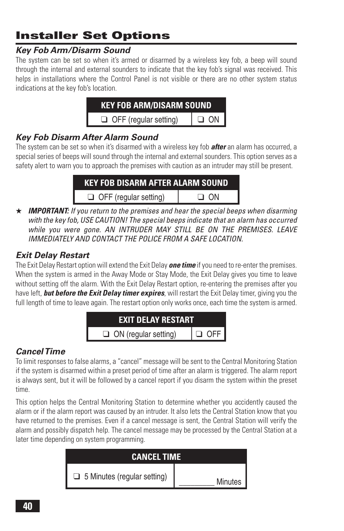# **Installer Set Options**

# *Key Fob Arm/Disarm Sound*

The system can be set so when it's armed or disarmed by a wireless key fob, a beep will sound through the internal and external sounders to indicate that the key fob's signal was received. This helps in installations where the Control Panel is not visible or there are no other system status indications at the key fob's location.

| <b>KEY FOB ARM/DISARM SOUND</b> |           |
|---------------------------------|-----------|
| $\Box$ OFF (regular setting)    | $\Box$ ON |

# *Key Fob Disarm After Alarm Sound*

The system can be set so when it's disarmed with a wireless key fob *after* an alarm has occurred, a special series of beeps will sound through the internal and external sounders. This option serves as a safety alert to warn you to approach the premises with caution as an intruder may still be present.

| <b>KEY FOB DISARM AFTER ALARM SOUND</b> |      |  |
|-----------------------------------------|------|--|
| $\Box$ OFF (regular setting)            | ⊡ ΩΝ |  |

★ *IMPORTANT: If you return to the premises and hear the special beeps when disarming with the key fob, USE CAUTION! The special beeps indicate that an alarm has occurred while you were gone. AN INTRUDER MAY STILL BE ON THE PREMISES. LEAVE IMMEDIATELY AND CONTACT THE POLICE FROM A SAFE LOCATION.*

## *Exit Delay Restart*

The Exit Delay Restart option will extend the Exit Delay *one time* if you need to re-enter the premises. When the system is armed in the Away Mode or Stay Mode, the Exit Delay gives you time to leave without setting off the alarm. With the Exit Delay Restart option, re-entering the premises after you have left, *but before the Exit Delay timer expires*, will restart the Exit Delay timer, giving you the full length of time to leave again. The restart option only works once, each time the system is armed.



# *Cancel Time*

To limit responses to false alarms, a "cancel" message will be sent to the Central Monitoring Station if the system is disarmed within a preset period of time after an alarm is triggered. The alarm report is always sent, but it will be followed by a cancel report if you disarm the system within the preset time.

This option helps the Central Monitoring Station to determine whether you accidently caused the alarm or if the alarm report was caused by an intruder. It also lets the Central Station know that you have returned to the premises. Even if a cancel message is sent, the Central Station will verify the alarm and possibly dispatch help. The cancel message may be processed by the Central Station at a later time depending on system programming.

| <b>CANCEL TIME</b>                 |                  |  |
|------------------------------------|------------------|--|
| $\Box$ 5 Minutes (regular setting) | Minutes <b>I</b> |  |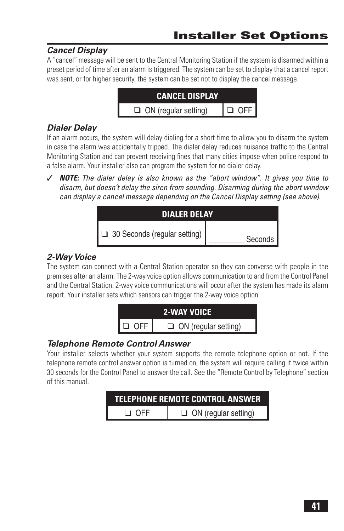# *Cancel Display*

A "cancel" message will be sent to the Central Monitoring Station if the system is disarmed within a preset period of time after an alarm is triggered. The system can be set to display that a cancel report was sent, or for higher security, the system can be set not to display the cancel message.



# *Dialer Delay*

If an alarm occurs, the system will delay dialing for a short time to allow you to disarm the system in case the alarm was accidentally tripped. The dialer delay reduces nuisance traffic to the Central Monitoring Station and can prevent receiving fines that many cities impose when police respond to a false alarm. Your installer also can program the system for no dialer delay.

✓ *NOTE: The dialer delay is also known as the "abort window". It gives you time to disarm, but doesn't delay the siren from sounding. Disarming during the abort window can display a cancel message depending on the Cancel Display setting (see above).*

| <b>DIALER DELAY</b>                 |           |  |
|-------------------------------------|-----------|--|
| $\Box$ 30 Seconds (regular setting) | Seconds I |  |

# *2-Way Voice*

The system can connect with a Central Station operator so they can converse with people in the premises after an alarm. The 2-way voice option allows communication to and from the Control Panel and the Central Station. 2-way voice communications will occur after the system has made its alarm report. Your installer sets which sensors can trigger the 2-way voice option.



# *Telephone Remote Control Answer*

Your installer selects whether your system supports the remote telephone option or not. If the telephone remote control answer option is turned on, the system will require calling it twice within 30 seconds for the Control Panel to answer the call. See the "Remote Control by Telephone" section of this manual.

| TELEPHONE REMOTE CONTROL ANSWER |                             |  |
|---------------------------------|-----------------------------|--|
| $\Box$ OFF                      | $\Box$ ON (regular setting) |  |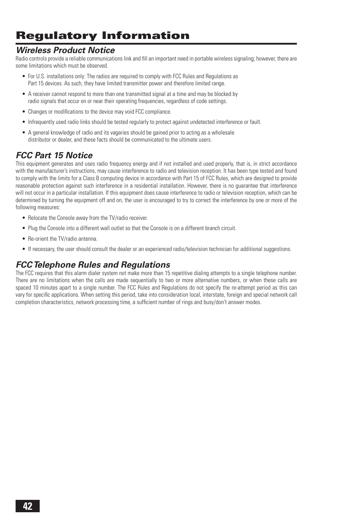# **Regulatory Information**

#### *Wireless Product Notice*

Radio controls provide a reliable communications link and fill an important need in portable wireless signaling; however, there are some limitations which must be observed.

- For U.S. installations only: The radios are required to comply with FCC Rules and Regulations as Part 15 devices. As such, they have limited transmitter power and therefore limited range.
- A receiver cannot respond to more than one transmitted signal at a time and may be blocked by radio signals that occur on or near their operating frequencies, regardless of code settings.
- Changes or modifications to the device may void FCC compliance.
- Infrequently used radio links should be tested regularly to protect against undetected interference or fault.
- A general knowledge of radio and its vagaries should be gained prior to acting as a wholesale distributor or dealer, and these facts should be communicated to the ultimate users.

## *FCC Part 15 Notice*

This equipment generates and uses radio frequency energy and if not installed and used properly, that is, in strict accordance with the manufacturer's instructions, may cause interference to radio and television reception. It has been type tested and found to comply with the limits for a Class B computing device in accordance with Part 15 of FCC Rules, which are designed to provide reasonable protection against such interference in a residential installation. However, there is no guarantee that interference will not occur in a particular installation. If this equipment does cause interference to radio or television reception, which can be determined by turning the equipment off and on, the user is encouraged to try to correct the interference by one or more of the following measures:

- Relocate the Console away from the TV/radio receiver.
- Plug the Console into a different wall outlet so that the Console is on a different branch circuit.
- Re-orient the TV/radio antenna.
- If necessary, the user should consult the dealer or an experienced radio/television technician for additional suggestions.

#### *FCC Telephone Rules and Regulations*

The FCC requires that this alarm dialer system not make more than 15 repetitive dialing attempts to a single telephone number. There are no limitations when the calls are made sequentially to two or more alternative numbers, or when these calls are spaced 10 minutes apart to a single number. The FCC Rules and Regulations do not specify the re-attempt period as this can vary for specific applications. When setting this period, take into consideration local, interstate, foreign and special network call completion characteristics, network processing time, a sufficient number of rings and busy/don't answer modes.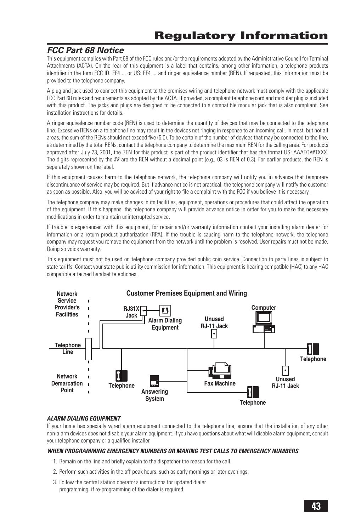#### *FCC Part 68 Notice*

This equipment complies with Part 68 of the FCC rules and/or the requirements adopted by the Administrative Council for Terminal Attachments (ACTA). On the rear of this equipment is a label that contains, among other information, a telephone products identifier in the form FCC ID: EF4 ... or US: EF4 ... and ringer equivalence number (REN). If requested, this information must be provided to the telephone company.

A plug and jack used to connect this equipment to the premises wiring and telephone network must comply with the applicable FCC Part 68 rules and requirements as adopted by the ACTA. If provided, a compliant telephone cord and modular plug is included with this product. The jacks and plugs are designed to be connected to a compatible modular jack that is also compliant. See installation instructions for details.

A ringer equivalence number code (REN) is used to determine the quantity of devices that may be connected to the telephone line. Excessive RENs on a telephone line may result in the devices not ringing in response to an incoming call. In most, but not all areas, the sum of the RENs should not exceed five (5.0). To be certain of the number of devices that may be connected to the line, as determined by the total RENs, contact the telephone company to determine the maximum REN for the calling area. For products approved after July 23, 2001, the REN for this product is part of the product identifier that has the format US: AAAEQ##TXXX. The digits represented by the ## are the REN without a decimal point (e.g., 03 is REN of 0.3). For earlier products, the REN is separately shown on the label.

If this equipment causes harm to the telephone network, the telephone company will notify you in advance that temporary discontinuance of service may be required. But if advance notice is not practical, the telephone company will notify the customer as soon as possible. Also, you will be advised of your right to file a complaint with the FCC if you believe it is necessary.

The telephone company may make changes in its facilities, equipment, operations or procedures that could affect the operation of the equipment. If this happens, the telephone company will provide advance notice in order for you to make the necessary modifications in order to maintain uninterrupted service.

If trouble is experienced with this equipment, for repair and/or warranty information contact your installing alarm dealer for information or a return product authorization (RPA). If the trouble is causing harm to the telephone network, the telephone company may request you remove the equipment from the network until the problem is resolved. User repairs must not be made. Doing so voids warranty.

This equipment must not be used on telephone company provided public coin service. Connection to party lines is subject to state tariffs. Contact your state public utility commission for information. This equipment is hearing compatible (HAC) to any HAC compatible attached handset telephones.



#### *ALARM DIALING EQUIPMENT*

If your home has specially wired alarm equipment connected to the telephone line, ensure that the installation of any other non-alarm devices does not disable your alarm equipment. If you have questions about what will disable alarm equipment, consult your telephone company or a qualified installer.

#### *WHEN PROGRAMMING EMERGENCY NUMBERS OR MAKING TEST CALLS TO EMERGENCY NUMBERS*

- 1. Remain on the line and briefly explain to the dispatcher the reason for the call.
- 2. Perform such activities in the off-peak hours, such as early mornings or later evenings.
- 3. Follow the central station operator's instructions for updated dialer programming, if re-programming of the dialer is required.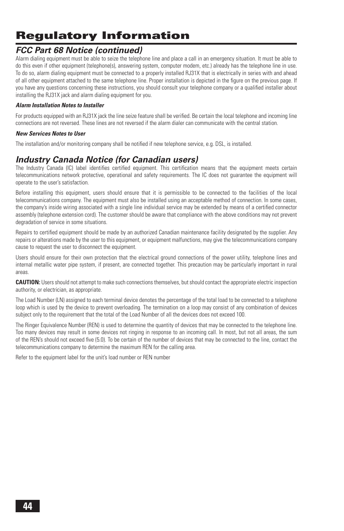# **Regulatory Information**

#### *FCC Part 68 Notice (continued)*

Alarm dialing equipment must be able to seize the telephone line and place a call in an emergency situation. It must be able to do this even if other equipment (telephone(s), answering system, computer modem, etc.) already has the telephone line in use. To do so, alarm dialing equipment must be connected to a properly installed RJ31X that is electrically in series with and ahead of all other equipment attached to the same telephone line. Proper installation is depicted in the figure on the previous page. If you have any questions concerning these instructions, you should consult your telephone company or a qualified installer about installing the RJ31X jack and alarm dialing equipment for you.

#### *Alarm Installation Notes to Installer*

For products equipped with an RJ31X jack the line seize feature shall be verified. Be certain the local telephone and incoming line connections are not reversed. These lines are not reversed if the alarm dialer can communicate with the central station.

#### *New Services Notes to User*

The installation and/or monitoring company shall be notified if new telephone service, e.g. DSL, is installed.

#### *Industry Canada Notice (for Canadian users)*

The Industry Canada (IC) label identifies certified equipment. This certification means that the equipment meets certain telecommunications network protective, operational and safety requirements. The IC does not guarantee the equipment will operate to the user's satisfaction.

Before installing this equipment, users should ensure that it is permissible to be connected to the facilities of the local telecommunications company. The equipment must also be installed using an acceptable method of connection. In some cases, the company's inside wiring associated with a single line individual service may be extended by means of a certified connector assembly (telephone extension cord). The customer should be aware that compliance with the above conditions may not prevent degradation of service in some situations.

Repairs to certified equipment should be made by an authorized Canadian maintenance facility designated by the supplier. Any repairs or alterations made by the user to this equipment, or equipment malfunctions, may give the telecommunications company cause to request the user to disconnect the equipment.

Users should ensure for their own protection that the electrical ground connections of the power utility, telephone lines and internal metallic water pipe system, if present, are connected together. This precaution may be particularly important in rural areas.

**CAUTION:** Users should not attempt to make such connections themselves, but should contact the appropriate electric inspection authority, or electrician, as appropriate.

The Load Number (LN) assigned to each terminal device denotes the percentage of the total load to be connected to a telephone loop which is used by the device to prevent overloading. The termination on a loop may consist of any combination of devices subject only to the requirement that the total of the Load Number of all the devices does not exceed 100.

The Ringer Equivalence Number (REN) is used to determine the quantity of devices that may be connected to the telephone line. Too many devices may result in some devices not ringing in response to an incoming call. In most, but not all areas, the sum of the REN's should not exceed five (5.0). To be certain of the number of devices that may be connected to the line, contact the telecommunications company to determine the maximum REN for the calling area.

Refer to the equipment label for the unit's load number or REN number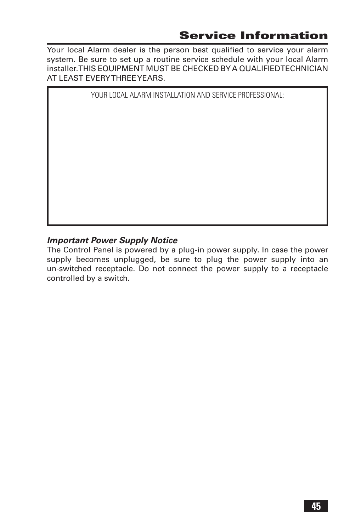Your local Alarm dealer is the person best qualified to service your alarm system. Be sure to set up a routine service schedule with your local Alarm installer. THIS EQUIPMENT MUST BE CHECKED BY A QUALIFIED TECHNICIAN AT LEAST EVERY THREE YEARS.

YOUR LOCAL ALARM INSTALLATION AND SERVICE PROFESSIONAL:

#### *Important Power Supply Notice*

The Control Panel is powered by a plug-in power supply. In case the power supply becomes unplugged, be sure to plug the power supply into an un-switched receptacle. Do not connect the power supply to a receptacle controlled by a switch.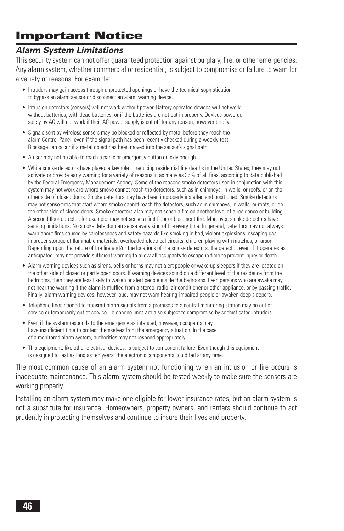# **Important Notice**

#### *Alarm System Limitations*

This security system can not offer quaranteed protection against burglary, fire, or other emergencies. Any alarm system, whether commercial or residential, is subject to compromise or failure to warn for a variety of reasons. For example:

- Intruders may gain access through unprotected openings or have the technical sophistication to bypass an alarm sensor or disconnect an alarm warning device.
- Intrusion detectors (sensors) will not work without power. Battery operated devices will not work without batteries, with dead batteries, or if the batteries are not put in properly. Devices powered solely by AC will not work if their AC power supply is cut off for any reason, however briefly.
- Signals sent by wireless sensors may be blocked or reflected by metal before they reach the alarm Control Panel, even if the signal path has been recently checked during a weekly test. Blockage can occur if a metal object has been moved into the sensor's signal path.
- A user may not be able to reach a panic or emergency button quickly enough.
- While smoke detectors have played a key role in reducing residential fire deaths in the United States, they may not activate or provide early warning for a variety of reasons in as many as 35% of all fires, according to data published by the Federal Emergency Management Agency. Some of the reasons smoke detectors used in conjunction with this system may not work are where smoke cannot reach the detectors, such as in chimneys, in walls, or roofs, or on the other side of closed doors. Smoke detectors may have been improperly installed and positioned. Smoke detectors may not sense fires that start where smoke cannot reach the detectors, such as in chimneys, in walls, or roofs, or on the other side of closed doors. Smoke detectors also may not sense a fire on another level of a residence or building. A second floor detector, for example, may not sense a first floor or basement fire. Moreover, smoke detectors have sensing limitations. No smoke detector can sense every kind of fire every time. In general, detectors may not always warn about fires caused by carelessness and safety hazards like smoking in bed, violent explosions, escaping gas, improper storage of flammable materials, overloaded electrical circuits, children playing with matches, or arson. Depending upon the nature of the fire and/or the locations of the smoke detectors, the detector, even if it operates as anticipated, may not provide sufficient warning to allow all occupants to escape in time to prevent injury or death.
- Alarm warning devices such as sirens, bells or horns may not alert people or wake up sleepers if they are located on the other side of closed or partly open doors. If warning devices sound on a different level of the residence from the bedrooms, then they are less likely to waken or alert people inside the bedrooms. Even persons who are awake may not hear the warning if the alarm is muffled from a stereo, radio, air conditioner or other appliance, or by passing traffic. Finally, alarm warning devices, however loud, may not warn hearing-impaired people or awaken deep sleepers.
- Telephone lines needed to transmit alarm signals from a premises to a central monitoring station may be out of service or temporarily out of service. Telephone lines are also subject to compromise by sophisticated intruders.
- Even if the system responds to the emergency as intended, however, occupants may have insufficient time to protect themselves from the emergency situation. In the case of a monitored alarm system, authorities may not respond appropriately.
- This equipment, like other electrical devices, is subject to component failure. Even though this equipment is designed to last as long as ten years, the electronic components could fail at any time.

The most common cause of an alarm system not functioning when an intrusion or fire occurs is inadequate maintenance. This alarm system should be tested weekly to make sure the sensors are working properly.

Installing an alarm system may make one eligible for lower insurance rates, but an alarm system is not a substitute for insurance. Homeowners, property owners, and renters should continue to act prudently in protecting themselves and continue to insure their lives and property.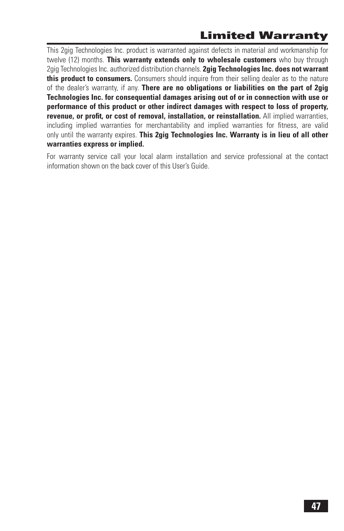# **Limited Warranty**

This 2gig Technologies Inc. product is warranted against defects in material and workmanship for twelve (12) months. **This warranty extends only to wholesale customers** who buy through 2gig Technologies Inc. authorized distribution channels. **2gig Technologies Inc. does not warrant this product to consumers.** Consumers should inquire from their selling dealer as to the nature of the dealer's warranty, if any. **There are no obligations or liabilities on the part of 2gig Technologies Inc. for consequential damages arising out of or in connection with use or performance of this product or other indirect damages with respect to loss of property,**  revenue, or profit, or cost of removal, installation, or reinstallation. All implied warranties, including implied warranties for merchantability and implied warranties for fitness, are valid only until the warranty expires. **This 2gig Technologies Inc. Warranty is in lieu of all other warranties express or implied.**

For warranty service call your local alarm installation and service professional at the contact information shown on the back cover of this User's Guide.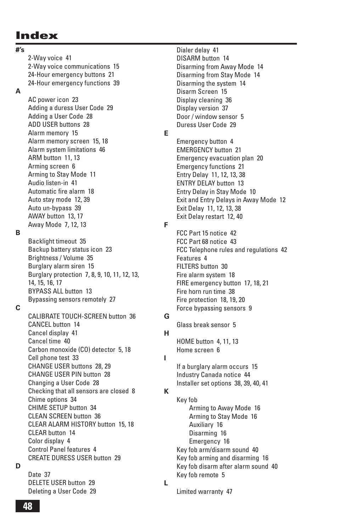# **Index**

**#'s**

**B**

**C**

2-Way voice 41 2-Way voice communications 15 24-Hour emergency buttons 21 24-Hour emergency functions 39 **A** AC power icon 23 Adding a duress User Code 29 Adding a User Code 28 ADD USER buttons 28 Alarm memory 15 Alarm memory screen 15, 18 Alarm system limitations 46 ARM button 11, 13 Arming screen 6 Arming to Stay Mode 11 Audio listen-in 41 Automatic fire alarm 18 Auto stay mode 12, 39 Auto un-bypass 39 AWAY button 13, 17 Away Mode 7, 12, 13 Backlight timeout 35 Backup battery status icon 23 Brightness / Volume 35 Burglary alarm siren 15 Burglary protection 7, 8, 9, 10, 11, 12, 13, 14, 15, 16, 17 BYPASS ALL button 13 Bypassing sensors remotely 27 CALIBRATE TOUCH-SCREEN button 36 CANCEL button 14 Cancel display 41 Cancel time 40 Carbon monoxide (CO) detector 5, 18 Cell phone test 33 CHANGE USER buttons 28, 29 CHANGE USER PIN button 28 Changing a User Code 28 Checking that all sensors are closed 8 Chime options 34 CHIME SETUP button 34 CLEAN SCREEN button 36 CLEAR ALARM HISTORY button 15, 18 CLEAR button 14 Color display 4 Control Panel features 4 CREATE DURESS USER button 29

**D**

| Date 37                 |  |
|-------------------------|--|
| DELETE USER button 29   |  |
| Deleting a User Code 29 |  |

Dialer delay 41 DISARM button 14 Disarming from Away Mode 14 Disarming from Stay Mode 14 Disarming the system 14 Disarm Screen 15 Display cleaning 36 Display version 37 Door / window sensor 5 Duress User Code 29

**E**

Emergency button 4 EMERGENCY button 21 Emergency evacuation plan 20 Emergency functions 21 Entry Delay 11, 12, 13, 38 ENTRY DELAY button 13 Entry Delay in Stay Mode 10 Exit and Entry Delays in Away Mode 12 Exit Delay 11, 12, 13, 38 Exit Delay restart 12, 40

**F**

FCC Part 15 notice 42 FCC Part 68 notice 43 FCC Telephone rules and regulations 42 Features 4 FILTERS button 30 Fire alarm system 18 FIRE emergency button 17, 18, 21 Fire horn run time 38 Fire protection 18, 19, 20 Force bypassing sensors 9

Glass break sensor 5

#### **H**

**I**

**K**

**L**

**G**

HOME button 4, 11, 13 Home screen 6

If a burglary alarm occurs 15 Industry Canada notice 44 Installer set options 38, 39, 40, 41

Key fob Arming to Away Mode 16 Arming to Stay Mode 16 Auxiliary 16 Disarming 16 Emergency 16 Key fob arm/disarm sound 40 Key fob arming and disarming 16 Key fob disarm after alarm sound 40 Key fob remote 5

Limited warranty 47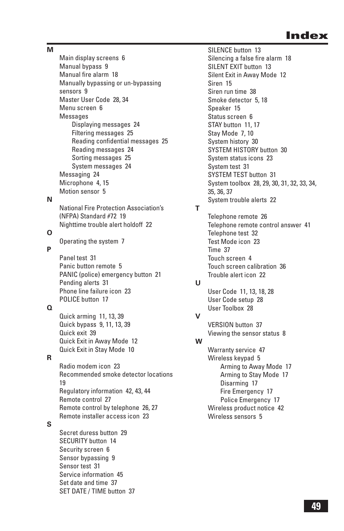**M**

Main display screens 6 Manual bypass 9 Manual fire alarm 18 Manually bypassing or un-bypassing sensors 9 Master User Code 28, 34 Menu screen 6 Messages Displaying messages 24 Filtering messages 25 Reading confidential messages 25 Reading messages 24 Sorting messages 25 System messages 24 Messaging 24 Microphone 4, 15 Motion sensor 5 National Fire Protection Association's (NFPA) Standard #72 19 Nighttime trouble alert holdoff 22 Operating the system 7 Panel test 31 Panic button remote 5 PANIC (police) emergency button 21 Pending alerts 31 Phone line failure icon 23 POLICE button 17 Quick arming 11, 13, 39 Quick bypass 9, 11, 13, 39 Quick exit 39 Quick Exit in Away Mode 12 Quick Exit in Stay Mode 10 Radio modem icon 23 Recommended smoke detector locations 19 Regulatory information 42, 43, 44 Remote control 27 Remote control by telephone 26, 27 Remote installer access icon 23 Secret duress button 29

# **P**

**O**

**N**

#### **Q**

#### **R**

#### **S**

SECURITY button 14 Security screen 6 Sensor bypassing 9 Sensor test 31 Service information 45 Set date and time 37 SET DATE / TIME button 37 SILENCE button 13 Silencing a false fire alarm 18 SILENT EXIT button 13 Silent Exit in Away Mode 12 Siren 15 Siren run time 38 Smoke detector 5, 18 Speaker 15 Status screen 6 STAY button 11, 17 Stay Mode 7, 10 System history 30 SYSTEM HISTORY button 30 System status icons 23 System test 31 SYSTEM TEST button 31 System toolbox 28, 29, 30, 31, 32, 33, 34, 35, 36, 37 System trouble alerts 22 Telephone remote 26 Telephone remote control answer 41 Telephone test 32 Test Mode icon 23 Time 37 Touch screen 4 Touch screen calibration 36 Trouble alert icon 22 User Code 11, 13, 18, 28 User Code setup 28 User Toolbox 28 VERSION button 37 Viewing the sensor status 8 Warranty service 47

**T**

**U**

**V**

**W**

Wireless keypad 5 Arming to Away Mode 17 Arming to Stay Mode 17 Disarming 17 Fire Emergency 17 Police Emergency 17 Wireless product notice 42 Wireless sensors 5